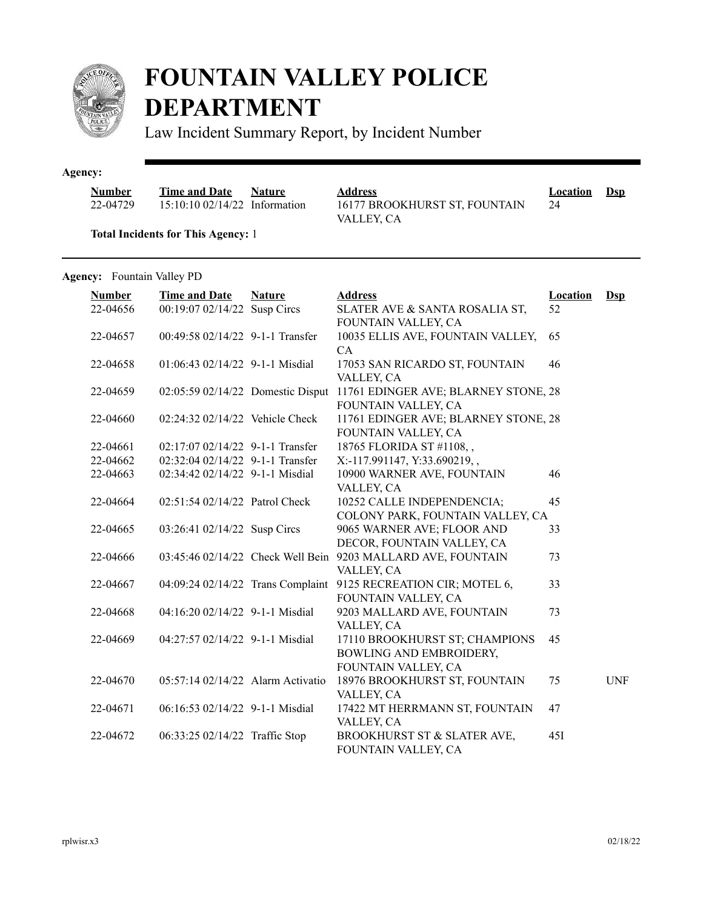

## **FOUNTAIN VALLEY POLICE DEPARTMENT**

Law Incident Summary Report, by Incident Number

## **Agency:**

| <b>Number</b> | <b>Time and Date</b>           | <b>Nature</b> |
|---------------|--------------------------------|---------------|
| 22-04729      | $15:10:1002/14/22$ Information |               |

**Address Location Dsp** 16177 BROOKHURST ST, FOUNTAIN VALLEY, CA

24

**Total Incidents for This Agency:** 1

## Agency: Fountain Valley PD

| <b>Number</b> | <b>Time and Date</b>              | <b>Nature</b> | <b>Address</b>                                                  | <b>Location</b> | $Ds$       |
|---------------|-----------------------------------|---------------|-----------------------------------------------------------------|-----------------|------------|
| 22-04656      | 00:19:07 02/14/22 Susp Circs      |               | SLATER AVE & SANTA ROSALIA ST,<br>FOUNTAIN VALLEY, CA           | 52              |            |
| 22-04657      | 00:49:58 02/14/22 9-1-1 Transfer  |               | 10035 ELLIS AVE, FOUNTAIN VALLEY,<br>CA                         | 65              |            |
| 22-04658      | 01:06:43 02/14/22 9-1-1 Misdial   |               | 17053 SAN RICARDO ST, FOUNTAIN<br>VALLEY, CA                    | 46              |            |
| 22-04659      | 02:05:59 02/14/22 Domestic Disput |               | 11761 EDINGER AVE; BLARNEY STONE, 28<br>FOUNTAIN VALLEY, CA     |                 |            |
| 22-04660      | 02:24:32 02/14/22 Vehicle Check   |               | 11761 EDINGER AVE; BLARNEY STONE, 28<br>FOUNTAIN VALLEY, CA     |                 |            |
| 22-04661      | 02:17:07 02/14/22 9-1-1 Transfer  |               | 18765 FLORIDA ST #1108,,                                        |                 |            |
| 22-04662      | 02:32:04 02/14/22 9-1-1 Transfer  |               | X:-117.991147, Y:33.690219,,                                    |                 |            |
| 22-04663      | 02:34:42 02/14/22 9-1-1 Misdial   |               | 10900 WARNER AVE, FOUNTAIN                                      | 46              |            |
|               |                                   |               | VALLEY, CA                                                      |                 |            |
| 22-04664      | 02:51:54 02/14/22 Patrol Check    |               | 10252 CALLE INDEPENDENCIA;                                      | 45              |            |
|               |                                   |               | COLONY PARK, FOUNTAIN VALLEY, CA                                |                 |            |
| 22-04665      | 03:26:41 02/14/22 Susp Circs      |               | 9065 WARNER AVE; FLOOR AND                                      | 33              |            |
|               |                                   |               | DECOR, FOUNTAIN VALLEY, CA                                      |                 |            |
| 22-04666      |                                   |               | 03:45:46 02/14/22 Check Well Bein 9203 MALLARD AVE, FOUNTAIN    | 73              |            |
|               |                                   |               | VALLEY, CA                                                      |                 |            |
| 22-04667      |                                   |               | 04:09:24 02/14/22 Trans Complaint 9125 RECREATION CIR; MOTEL 6, | 33              |            |
|               |                                   |               | FOUNTAIN VALLEY, CA                                             |                 |            |
| 22-04668      | 04:16:20 02/14/22 9-1-1 Misdial   |               | 9203 MALLARD AVE, FOUNTAIN                                      | 73              |            |
|               |                                   |               | VALLEY, CA                                                      |                 |            |
| 22-04669      | 04:27:57 02/14/22 9-1-1 Misdial   |               | 17110 BROOKHURST ST; CHAMPIONS                                  | 45              |            |
|               |                                   |               | BOWLING AND EMBROIDERY,                                         |                 |            |
|               |                                   |               | FOUNTAIN VALLEY, CA                                             |                 |            |
| 22-04670      | 05:57:14 02/14/22 Alarm Activatio |               | 18976 BROOKHURST ST, FOUNTAIN                                   | 75              | <b>UNF</b> |
|               |                                   |               | VALLEY, CA                                                      |                 |            |
| 22-04671      | 06:16:53 02/14/22 9-1-1 Misdial   |               | 17422 MT HERRMANN ST, FOUNTAIN                                  | 47              |            |
|               |                                   |               | VALLEY, CA                                                      |                 |            |
| 22-04672      | 06:33:25 02/14/22 Traffic Stop    |               | BROOKHURST ST & SLATER AVE,                                     | 45I             |            |
|               |                                   |               | FOUNTAIN VALLEY, CA                                             |                 |            |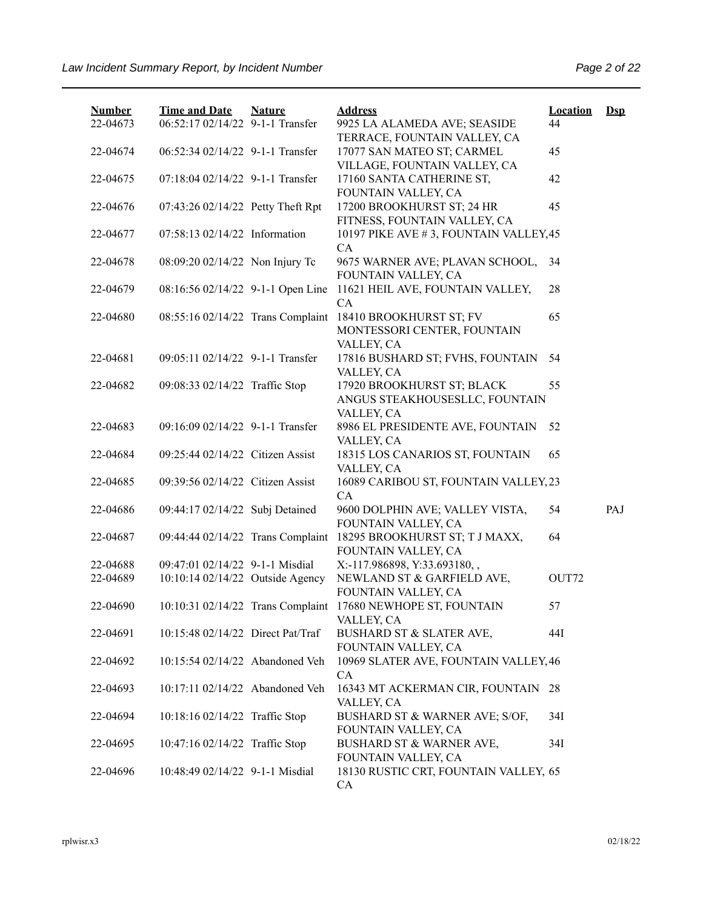| <b>Number</b>        | <b>Time and Date</b>                                                | <b>Nature</b> | <b>Address</b>                                               | <b>Location</b> | $\mathbf{Dsp}$ |
|----------------------|---------------------------------------------------------------------|---------------|--------------------------------------------------------------|-----------------|----------------|
| 22-04673             | 06:52:17 02/14/22 9-1-1 Transfer                                    |               | 9925 LA ALAMEDA AVE; SEASIDE<br>TERRACE, FOUNTAIN VALLEY, CA | 44              |                |
| 22-04674             | 06:52:34 02/14/22 9-1-1 Transfer                                    |               | 17077 SAN MATEO ST; CARMEL                                   | 45              |                |
|                      |                                                                     |               | VILLAGE, FOUNTAIN VALLEY, CA                                 |                 |                |
| 22-04675             | 07:18:04 02/14/22 9-1-1 Transfer                                    |               | 17160 SANTA CATHERINE ST,                                    | 42              |                |
|                      |                                                                     |               | FOUNTAIN VALLEY, CA                                          |                 |                |
| 22-04676             | 07:43:26 02/14/22 Petty Theft Rpt                                   |               | 17200 BROOKHURST ST; 24 HR<br>FITNESS, FOUNTAIN VALLEY, CA   | 45              |                |
| 22-04677             | 07:58:13 02/14/22 Information                                       |               | 10197 PIKE AVE #3, FOUNTAIN VALLEY, 45                       |                 |                |
|                      |                                                                     |               | CA                                                           |                 |                |
| 22-04678             | 08:09:20 02/14/22 Non Injury Tc                                     |               | 9675 WARNER AVE; PLAVAN SCHOOL,                              | 34              |                |
|                      |                                                                     |               | FOUNTAIN VALLEY, CA                                          |                 |                |
| 22-04679             | 08:16:56 02/14/22 9-1-1 Open Line                                   |               | 11621 HEIL AVE, FOUNTAIN VALLEY,<br>CA                       | 28              |                |
| 22-04680             | 08:55:16 02/14/22 Trans Complaint                                   |               | 18410 BROOKHURST ST; FV                                      | 65              |                |
|                      |                                                                     |               | MONTESSORI CENTER, FOUNTAIN                                  |                 |                |
|                      |                                                                     |               | VALLEY, CA                                                   |                 |                |
| 22-04681             | 09:05:11 02/14/22 9-1-1 Transfer                                    |               | 17816 BUSHARD ST; FVHS, FOUNTAIN                             | 54              |                |
|                      |                                                                     |               | VALLEY, CA<br>17920 BROOKHURST ST; BLACK                     |                 |                |
| 22-04682             | 09:08:33 02/14/22 Traffic Stop                                      |               | ANGUS STEAKHOUSESLLC, FOUNTAIN                               | 55              |                |
|                      |                                                                     |               | VALLEY, CA                                                   |                 |                |
| 22-04683             | 09:16:09 02/14/22 9-1-1 Transfer                                    |               | 8986 EL PRESIDENTE AVE, FOUNTAIN                             | 52              |                |
|                      |                                                                     |               | VALLEY, CA                                                   |                 |                |
| 22-04684             | 09:25:44 02/14/22 Citizen Assist                                    |               | 18315 LOS CANARIOS ST, FOUNTAIN                              | 65              |                |
| 22-04685             | 09:39:56 02/14/22 Citizen Assist                                    |               | VALLEY, CA<br>16089 CARIBOU ST, FOUNTAIN VALLEY, 23          |                 |                |
|                      |                                                                     |               | CA                                                           |                 |                |
| 22-04686             | 09:44:17 02/14/22 Subj Detained                                     |               | 9600 DOLPHIN AVE; VALLEY VISTA,                              | 54              | PAJ            |
|                      |                                                                     |               | FOUNTAIN VALLEY, CA                                          |                 |                |
| 22-04687             | 09:44:44 02/14/22 Trans Complaint                                   |               | 18295 BROOKHURST ST; T J MAXX,                               | 64              |                |
|                      |                                                                     |               | FOUNTAIN VALLEY, CA                                          |                 |                |
| 22-04688<br>22-04689 | 09:47:01 02/14/22 9-1-1 Misdial<br>10:10:14 02/14/22 Outside Agency |               | X:-117.986898, Y:33.693180,,<br>NEWLAND ST & GARFIELD AVE,   | OUT72           |                |
|                      |                                                                     |               | FOUNTAIN VALLEY, CA                                          |                 |                |
| 22-04690             |                                                                     |               | 10:10:31 02/14/22 Trans Complaint 17680 NEWHOPE ST, FOUNTAIN | 57              |                |
|                      |                                                                     |               | VALLEY, CA                                                   |                 |                |
| 22-04691             | 10:15:48 02/14/22 Direct Pat/Traf                                   |               | <b>BUSHARD ST &amp; SLATER AVE,</b>                          | 44I             |                |
| 22-04692             | 10:15:54 02/14/22 Abandoned Veh                                     |               | FOUNTAIN VALLEY, CA<br>10969 SLATER AVE, FOUNTAIN VALLEY, 46 |                 |                |
|                      |                                                                     |               | CA                                                           |                 |                |
| 22-04693             | 10:17:11 02/14/22 Abandoned Veh                                     |               | 16343 MT ACKERMAN CIR, FOUNTAIN 28                           |                 |                |
|                      |                                                                     |               | VALLEY, CA                                                   |                 |                |
| 22-04694             | 10:18:16 02/14/22 Traffic Stop                                      |               | BUSHARD ST & WARNER AVE; S/OF,                               | 34I             |                |
|                      |                                                                     |               | FOUNTAIN VALLEY, CA                                          |                 |                |
| 22-04695             | 10:47:16 02/14/22 Traffic Stop                                      |               | BUSHARD ST & WARNER AVE,<br>FOUNTAIN VALLEY, CA              | 34I             |                |
| 22-04696             | 10:48:49 02/14/22 9-1-1 Misdial                                     |               | 18130 RUSTIC CRT, FOUNTAIN VALLEY, 65                        |                 |                |
|                      |                                                                     |               | CA                                                           |                 |                |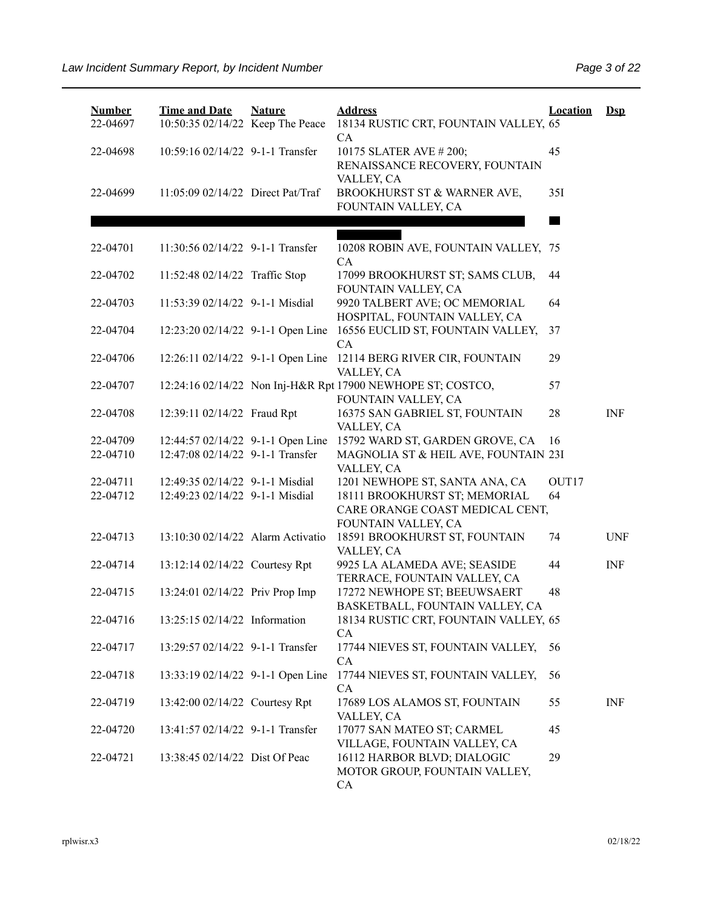| <b>Number</b><br>22-04697 | <b>Time and Date</b><br>10:50:35 02/14/22 Keep The Peace | <b>Nature</b> | <b>Address</b><br>18134 RUSTIC CRT, FOUNTAIN VALLEY, 65<br><b>CA</b>                    | <b>Location</b>   | $\mathbf{Dsp}$ |
|---------------------------|----------------------------------------------------------|---------------|-----------------------------------------------------------------------------------------|-------------------|----------------|
| 22-04698                  | 10:59:16 02/14/22 9-1-1 Transfer                         |               | 10175 SLATER AVE # 200;<br>RENAISSANCE RECOVERY, FOUNTAIN                               | 45                |                |
| 22-04699                  | 11:05:09 02/14/22 Direct Pat/Traf                        |               | VALLEY, CA<br>BROOKHURST ST & WARNER AVE,<br>FOUNTAIN VALLEY, CA                        | 35I               |                |
|                           |                                                          |               |                                                                                         |                   |                |
| 22-04701                  | 11:30:56 02/14/22 9-1-1 Transfer                         |               | 10208 ROBIN AVE, FOUNTAIN VALLEY, 75<br>CA                                              |                   |                |
| 22-04702                  | 11:52:48 02/14/22 Traffic Stop                           |               | 17099 BROOKHURST ST; SAMS CLUB,<br>FOUNTAIN VALLEY, CA                                  | 44                |                |
| 22-04703                  | 11:53:39 02/14/22 9-1-1 Misdial                          |               | 9920 TALBERT AVE; OC MEMORIAL<br>HOSPITAL, FOUNTAIN VALLEY, CA                          | 64                |                |
| 22-04704                  | 12:23:20 02/14/22 9-1-1 Open Line                        |               | 16556 EUCLID ST, FOUNTAIN VALLEY,<br>CA                                                 | 37                |                |
| 22-04706                  | 12:26:11 02/14/22 9-1-1 Open Line                        |               | 12114 BERG RIVER CIR, FOUNTAIN<br>VALLEY, CA                                            | 29                |                |
| 22-04707                  |                                                          |               | 12:24:16 02/14/22 Non Inj-H&R Rpt 17900 NEWHOPE ST; COSTCO,<br>FOUNTAIN VALLEY, CA      | 57                |                |
| 22-04708                  | 12:39:11 02/14/22 Fraud Rpt                              |               | 16375 SAN GABRIEL ST, FOUNTAIN<br>VALLEY, CA                                            | 28                | <b>INF</b>     |
| 22-04709                  | 12:44:57 02/14/22 9-1-1 Open Line                        |               | 15792 WARD ST, GARDEN GROVE, CA                                                         | 16                |                |
| 22-04710                  | 12:47:08 02/14/22 9-1-1 Transfer                         |               | MAGNOLIA ST & HEIL AVE, FOUNTAIN 23I<br>VALLEY, CA                                      |                   |                |
| 22-04711                  | 12:49:35 02/14/22 9-1-1 Misdial                          |               | 1201 NEWHOPE ST, SANTA ANA, CA                                                          | OUT <sub>17</sub> |                |
| 22-04712                  | 12:49:23 02/14/22 9-1-1 Misdial                          |               | 18111 BROOKHURST ST; MEMORIAL<br>CARE ORANGE COAST MEDICAL CENT,<br>FOUNTAIN VALLEY, CA | 64                |                |
| 22-04713                  | 13:10:30 02/14/22 Alarm Activatio                        |               | 18591 BROOKHURST ST, FOUNTAIN<br>VALLEY, CA                                             | 74                | <b>UNF</b>     |
| 22-04714                  | 13:12:14 02/14/22 Courtesy Rpt                           |               | 9925 LA ALAMEDA AVE; SEASIDE<br>TERRACE, FOUNTAIN VALLEY, CA                            | 44                | <b>INF</b>     |
| 22-04715                  | 13:24:01 02/14/22 Priv Prop Imp                          |               | 17272 NEWHOPE ST; BEEUWSAERT<br>BASKETBALL, FOUNTAIN VALLEY, CA                         | 48                |                |
| 22-04716                  | 13:25:15 02/14/22 Information                            |               | 18134 RUSTIC CRT, FOUNTAIN VALLEY, 65<br><b>CA</b>                                      |                   |                |
| 22-04717                  | 13:29:57 02/14/22 9-1-1 Transfer                         |               | 17744 NIEVES ST, FOUNTAIN VALLEY,<br>CA                                                 | 56                |                |
| 22-04718                  | 13:33:19 02/14/22 9-1-1 Open Line                        |               | 17744 NIEVES ST, FOUNTAIN VALLEY,<br>CA                                                 | 56                |                |
| 22-04719                  | 13:42:00 02/14/22 Courtesy Rpt                           |               | 17689 LOS ALAMOS ST, FOUNTAIN<br>VALLEY, CA                                             | 55                | <b>INF</b>     |
| 22-04720                  | 13:41:57 02/14/22 9-1-1 Transfer                         |               | 17077 SAN MATEO ST; CARMEL<br>VILLAGE, FOUNTAIN VALLEY, CA                              | 45                |                |
| 22-04721                  | 13:38:45 02/14/22 Dist Of Peac                           |               | 16112 HARBOR BLVD; DIALOGIC<br>MOTOR GROUP, FOUNTAIN VALLEY,<br>CA                      | 29                |                |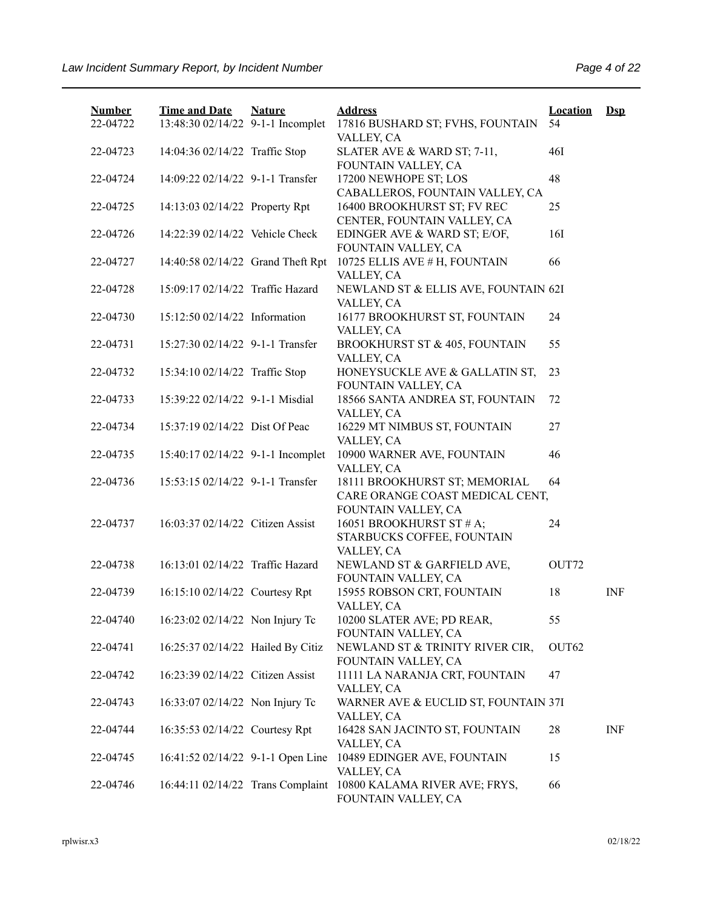| <b>Number</b><br>22-04722 | <b>Time and Date</b><br>13:48:30 02/14/22 9-1-1 Incomplet | <b>Nature</b> | <b>Address</b><br>17816 BUSHARD ST; FVHS, FOUNTAIN                            | <b>Location</b><br>54 | $\mathbf{Dsp}$ |
|---------------------------|-----------------------------------------------------------|---------------|-------------------------------------------------------------------------------|-----------------------|----------------|
|                           |                                                           |               | VALLEY, CA                                                                    |                       |                |
| 22-04723                  | 14:04:36 02/14/22 Traffic Stop                            |               | SLATER AVE & WARD ST; 7-11,<br>FOUNTAIN VALLEY, CA                            | 46I                   |                |
| 22-04724                  | 14:09:22 02/14/22 9-1-1 Transfer                          |               | 17200 NEWHOPE ST; LOS<br>CABALLEROS, FOUNTAIN VALLEY, CA                      | 48                    |                |
| 22-04725                  | 14:13:03 02/14/22 Property Rpt                            |               | 16400 BROOKHURST ST; FV REC<br>CENTER, FOUNTAIN VALLEY, CA                    | 25                    |                |
| 22-04726                  | 14:22:39 02/14/22 Vehicle Check                           |               | EDINGER AVE & WARD ST; E/OF,<br>FOUNTAIN VALLEY, CA                           | 16I                   |                |
| 22-04727                  | 14:40:58 02/14/22 Grand Theft Rpt                         |               | 10725 ELLIS AVE # H, FOUNTAIN<br>VALLEY, CA                                   | 66                    |                |
| 22-04728                  | 15:09:17 02/14/22 Traffic Hazard                          |               | NEWLAND ST & ELLIS AVE, FOUNTAIN 62I<br>VALLEY, CA                            |                       |                |
| 22-04730                  | 15:12:50 02/14/22 Information                             |               | 16177 BROOKHURST ST, FOUNTAIN<br>VALLEY, CA                                   | 24                    |                |
| 22-04731                  | 15:27:30 02/14/22 9-1-1 Transfer                          |               | BROOKHURST ST & 405, FOUNTAIN<br>VALLEY, CA                                   | 55                    |                |
| 22-04732                  | 15:34:10 02/14/22 Traffic Stop                            |               | HONEYSUCKLE AVE & GALLATIN ST,<br>FOUNTAIN VALLEY, CA                         | 23                    |                |
| 22-04733                  | 15:39:22 02/14/22 9-1-1 Misdial                           |               | 18566 SANTA ANDREA ST, FOUNTAIN<br>VALLEY, CA                                 | 72                    |                |
| 22-04734                  | 15:37:19 02/14/22 Dist Of Peac                            |               | 16229 MT NIMBUS ST, FOUNTAIN<br>VALLEY, CA                                    | 27                    |                |
| 22-04735                  | 15:40:17 02/14/22 9-1-1 Incomplet                         |               | 10900 WARNER AVE, FOUNTAIN<br>VALLEY, CA                                      | 46                    |                |
| 22-04736                  | 15:53:15 02/14/22 9-1-1 Transfer                          |               | 18111 BROOKHURST ST; MEMORIAL<br>CARE ORANGE COAST MEDICAL CENT,              | 64                    |                |
| 22-04737                  | 16:03:37 02/14/22 Citizen Assist                          |               | FOUNTAIN VALLEY, CA<br>16051 BROOKHURST ST # A;<br>STARBUCKS COFFEE, FOUNTAIN | 24                    |                |
| 22-04738                  | 16:13:01 02/14/22 Traffic Hazard                          |               | VALLEY, CA<br>NEWLAND ST & GARFIELD AVE,<br>FOUNTAIN VALLEY, CA               | OUT72                 |                |
| 22-04739                  | 16:15:10 02/14/22 Courtesy Rpt                            |               | 15955 ROBSON CRT, FOUNTAIN<br>VALLEY, CA                                      | 18                    | <b>INF</b>     |
| 22-04740                  | 16:23:02 02/14/22 Non Injury Tc                           |               | 10200 SLATER AVE; PD REAR,<br>FOUNTAIN VALLEY, CA                             | 55                    |                |
| 22-04741                  | 16:25:37 02/14/22 Hailed By Citiz                         |               | NEWLAND ST & TRINITY RIVER CIR,<br>FOUNTAIN VALLEY, CA                        | OUT62                 |                |
| 22-04742                  | 16:23:39 02/14/22 Citizen Assist                          |               | 11111 LA NARANJA CRT, FOUNTAIN<br>VALLEY, CA                                  | 47                    |                |
| 22-04743                  | 16:33:07 02/14/22 Non Injury Tc                           |               | WARNER AVE & EUCLID ST, FOUNTAIN 37I<br>VALLEY, CA                            |                       |                |
| 22-04744                  | 16:35:53 02/14/22 Courtesy Rpt                            |               | 16428 SAN JACINTO ST, FOUNTAIN<br>VALLEY, CA                                  | 28                    | <b>INF</b>     |
| 22-04745                  | 16:41:52 02/14/22 9-1-1 Open Line                         |               | 10489 EDINGER AVE, FOUNTAIN<br>VALLEY, CA                                     | 15                    |                |
| 22-04746                  | 16:44:11 02/14/22 Trans Complaint                         |               | 10800 KALAMA RIVER AVE; FRYS,<br>FOUNTAIN VALLEY, CA                          | 66                    |                |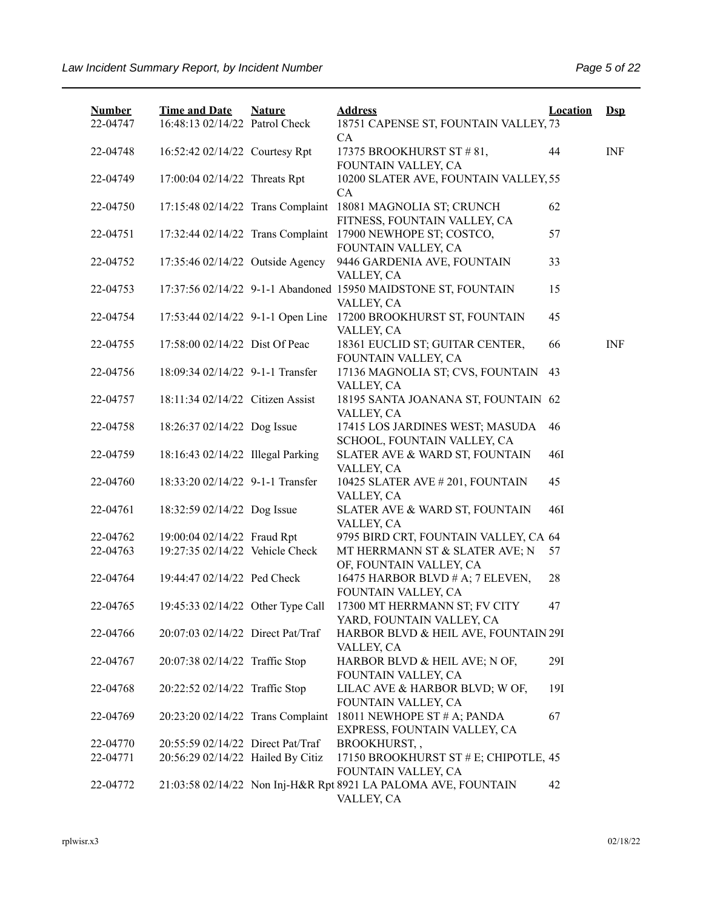| <b>Number</b><br>22-04747 | <b>Time and Date</b><br>16:48:13 02/14/22 Patrol Check | <b>Nature</b> | <b>Address</b><br>18751 CAPENSE ST, FOUNTAIN VALLEY, 73                      | <b>Location</b> | $\mathbf{Dsp}$            |
|---------------------------|--------------------------------------------------------|---------------|------------------------------------------------------------------------------|-----------------|---------------------------|
| 22-04748                  | 16:52:42 02/14/22 Courtesy Rpt                         |               | CA<br>17375 BROOKHURST ST #81,<br>FOUNTAIN VALLEY, CA                        | 44              | $\ensuremath{\text{INF}}$ |
| 22-04749                  | 17:00:04 02/14/22 Threats Rpt                          |               | 10200 SLATER AVE, FOUNTAIN VALLEY, 55<br>CA                                  |                 |                           |
| 22-04750                  | 17:15:48 02/14/22 Trans Complaint                      |               | 18081 MAGNOLIA ST; CRUNCH<br>FITNESS, FOUNTAIN VALLEY, CA                    | 62              |                           |
| 22-04751                  | 17:32:44 02/14/22 Trans Complaint                      |               | 17900 NEWHOPE ST; COSTCO,<br>FOUNTAIN VALLEY, CA                             | 57              |                           |
| 22-04752                  | 17:35:46 02/14/22 Outside Agency                       |               | 9446 GARDENIA AVE, FOUNTAIN<br>VALLEY, CA                                    | 33              |                           |
| 22-04753                  |                                                        |               | 17:37:56 02/14/22 9-1-1 Abandoned 15950 MAIDSTONE ST, FOUNTAIN<br>VALLEY, CA | 15              |                           |
| 22-04754                  | 17:53:44 02/14/22 9-1-1 Open Line                      |               | 17200 BROOKHURST ST, FOUNTAIN<br>VALLEY, CA                                  | 45              |                           |
| 22-04755                  | 17:58:00 02/14/22 Dist Of Peac                         |               | 18361 EUCLID ST; GUITAR CENTER,<br>FOUNTAIN VALLEY, CA                       | 66              | <b>INF</b>                |
| 22-04756                  | 18:09:34 02/14/22 9-1-1 Transfer                       |               | 17136 MAGNOLIA ST; CVS, FOUNTAIN<br>VALLEY, CA                               | 43              |                           |
| 22-04757                  | 18:11:34 02/14/22 Citizen Assist                       |               | 18195 SANTA JOANANA ST, FOUNTAIN 62<br>VALLEY, CA                            |                 |                           |
| 22-04758                  | 18:26:37 02/14/22 Dog Issue                            |               | 17415 LOS JARDINES WEST; MASUDA<br>SCHOOL, FOUNTAIN VALLEY, CA               | 46              |                           |
| 22-04759                  | 18:16:43 02/14/22 Illegal Parking                      |               | SLATER AVE & WARD ST, FOUNTAIN<br>VALLEY, CA                                 | <b>46I</b>      |                           |
| 22-04760                  | 18:33:20 02/14/22 9-1-1 Transfer                       |               | 10425 SLATER AVE # 201, FOUNTAIN<br>VALLEY, CA                               | 45              |                           |
| 22-04761                  | 18:32:59 02/14/22 Dog Issue                            |               | SLATER AVE & WARD ST, FOUNTAIN<br>VALLEY, CA                                 | <b>46I</b>      |                           |
| 22-04762                  | 19:00:04 02/14/22 Fraud Rpt                            |               | 9795 BIRD CRT, FOUNTAIN VALLEY, CA 64                                        |                 |                           |
| 22-04763                  | 19:27:35 02/14/22 Vehicle Check                        |               | MT HERRMANN ST & SLATER AVE; N<br>OF, FOUNTAIN VALLEY, CA                    | 57              |                           |
| 22-04764                  | 19:44:47 02/14/22 Ped Check                            |               | 16475 HARBOR BLVD # A; 7 ELEVEN,<br>FOUNTAIN VALLEY, CA                      | 28              |                           |
| 22-04765                  | 19:45:33 02/14/22 Other Type Call                      |               | 17300 MT HERRMANN ST; FV CITY<br>YARD, FOUNTAIN VALLEY, CA                   | 47              |                           |
| 22-04766                  | 20:07:03 02/14/22 Direct Pat/Traf                      |               | HARBOR BLVD & HEIL AVE, FOUNTAIN 29I<br>VALLEY, CA                           |                 |                           |
| 22-04767                  | 20:07:38 02/14/22 Traffic Stop                         |               | HARBOR BLVD & HEIL AVE; N OF,<br>FOUNTAIN VALLEY, CA                         | 29I             |                           |
| 22-04768                  | 20:22:52 02/14/22 Traffic Stop                         |               | LILAC AVE & HARBOR BLVD; W OF,<br>FOUNTAIN VALLEY, CA                        | 19I             |                           |
| 22-04769                  | 20:23:20 02/14/22 Trans Complaint                      |               | 18011 NEWHOPE ST # A; PANDA<br>EXPRESS, FOUNTAIN VALLEY, CA                  | 67              |                           |
| 22-04770                  | 20:55:59 02/14/22 Direct Pat/Traf                      |               | BROOKHURST,,                                                                 |                 |                           |
| 22-04771                  | 20:56:29 02/14/22 Hailed By Citiz                      |               | 17150 BROOKHURST ST # E; CHIPOTLE, 45<br>FOUNTAIN VALLEY, CA                 |                 |                           |
| 22-04772                  |                                                        |               | 21:03:58 02/14/22 Non Inj-H&R Rpt 8921 LA PALOMA AVE, FOUNTAIN<br>VALLEY, CA | 42              |                           |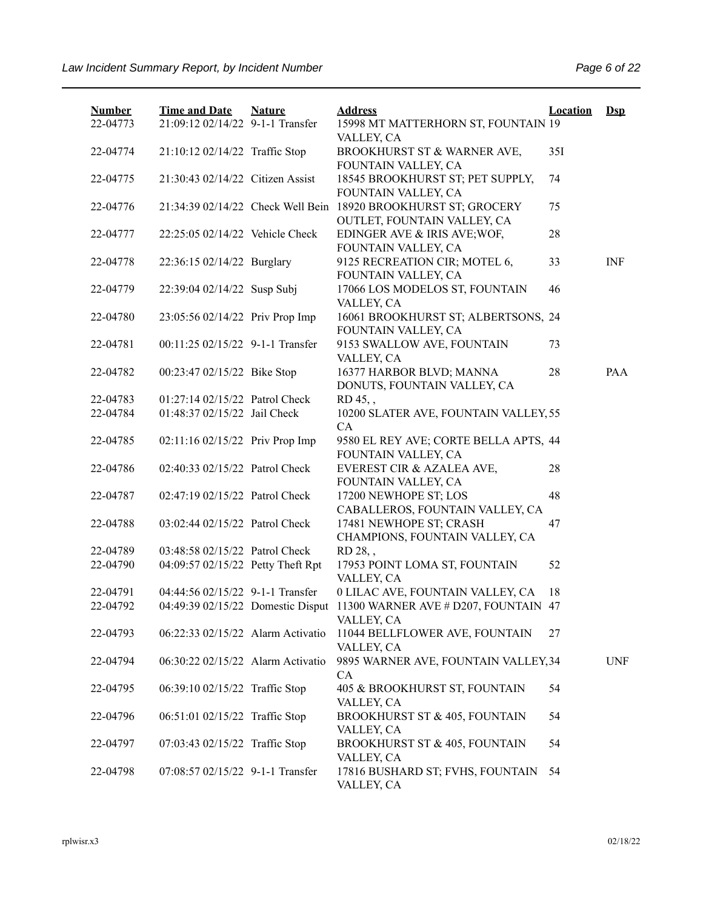| <b>Number</b><br>22-04773 | <b>Time and Date</b><br>21:09:12 02/14/22 9-1-1 Transfer | <b>Nature</b> | <b>Address</b><br>15998 MT MATTERHORN ST, FOUNTAIN 19        | <b>Location</b> | $\mathbf{Dsp}$ |
|---------------------------|----------------------------------------------------------|---------------|--------------------------------------------------------------|-----------------|----------------|
|                           |                                                          |               | VALLEY, CA                                                   |                 |                |
| 22-04774                  | 21:10:12 02/14/22 Traffic Stop                           |               | BROOKHURST ST & WARNER AVE,<br>FOUNTAIN VALLEY, CA           | 35I             |                |
| 22-04775                  | 21:30:43 02/14/22 Citizen Assist                         |               | 18545 BROOKHURST ST; PET SUPPLY,<br>FOUNTAIN VALLEY, CA      | 74              |                |
| 22-04776                  | 21:34:39 02/14/22 Check Well Bein                        |               | 18920 BROOKHURST ST; GROCERY<br>OUTLET, FOUNTAIN VALLEY, CA  | 75              |                |
| 22-04777                  | 22:25:05 02/14/22 Vehicle Check                          |               | EDINGER AVE & IRIS AVE; WOF,<br>FOUNTAIN VALLEY, CA          | 28              |                |
| 22-04778                  | 22:36:15 02/14/22 Burglary                               |               | 9125 RECREATION CIR; MOTEL 6,<br>FOUNTAIN VALLEY, CA         | 33              | <b>INF</b>     |
| 22-04779                  | 22:39:04 02/14/22 Susp Subj                              |               | 17066 LOS MODELOS ST, FOUNTAIN<br>VALLEY, CA                 | 46              |                |
| 22-04780                  | 23:05:56 02/14/22 Priv Prop Imp                          |               | 16061 BROOKHURST ST; ALBERTSONS, 24<br>FOUNTAIN VALLEY, CA   |                 |                |
| 22-04781                  | 00:11:25 02/15/22 9-1-1 Transfer                         |               | 9153 SWALLOW AVE, FOUNTAIN<br>VALLEY, CA                     | 73              |                |
| 22-04782                  | 00:23:47 02/15/22 Bike Stop                              |               | 16377 HARBOR BLVD; MANNA<br>DONUTS, FOUNTAIN VALLEY, CA      | 28              | PAA            |
| 22-04783                  | 01:27:14 02/15/22 Patrol Check                           |               | RD 45,,                                                      |                 |                |
| 22-04784                  | 01:48:37 02/15/22 Jail Check                             |               | 10200 SLATER AVE, FOUNTAIN VALLEY, 55<br>CA                  |                 |                |
| 22-04785                  | 02:11:16 02/15/22 Priv Prop Imp                          |               | 9580 EL REY AVE; CORTE BELLA APTS, 44<br>FOUNTAIN VALLEY, CA |                 |                |
| 22-04786                  | 02:40:33 02/15/22 Patrol Check                           |               | EVEREST CIR & AZALEA AVE,<br>FOUNTAIN VALLEY, CA             | 28              |                |
| 22-04787                  | 02:47:19 02/15/22 Patrol Check                           |               | 17200 NEWHOPE ST; LOS<br>CABALLEROS, FOUNTAIN VALLEY, CA     | 48              |                |
| 22-04788                  | 03:02:44 02/15/22 Patrol Check                           |               | 17481 NEWHOPE ST; CRASH<br>CHAMPIONS, FOUNTAIN VALLEY, CA    | 47              |                |
| 22-04789                  | 03:48:58 02/15/22 Patrol Check                           |               | RD 28,,                                                      |                 |                |
| 22-04790                  | 04:09:57 02/15/22 Petty Theft Rpt                        |               | 17953 POINT LOMA ST, FOUNTAIN<br>VALLEY, CA                  | 52              |                |
| 22-04791                  | 04:44:56 02/15/22 9-1-1 Transfer                         |               | 0 LILAC AVE, FOUNTAIN VALLEY, CA                             | 18              |                |
| 22-04792                  | 04:49:39 02/15/22 Domestic Disput                        |               | 11300 WARNER AVE # D207, FOUNTAIN 47<br>VALLEY, CA           |                 |                |
| 22-04793                  | 06:22:33 02/15/22 Alarm Activatio                        |               | 11044 BELLFLOWER AVE, FOUNTAIN<br>VALLEY, CA                 | 27              |                |
| 22-04794                  | 06:30:22 02/15/22 Alarm Activatio                        |               | 9895 WARNER AVE, FOUNTAIN VALLEY, 34<br>CA                   |                 | <b>UNF</b>     |
| 22-04795                  | 06:39:10 02/15/22 Traffic Stop                           |               | 405 & BROOKHURST ST, FOUNTAIN<br>VALLEY, CA                  | 54              |                |
| 22-04796                  | 06:51:01 02/15/22 Traffic Stop                           |               | BROOKHURST ST & 405, FOUNTAIN<br>VALLEY, CA                  | 54              |                |
| 22-04797                  | 07:03:43 02/15/22 Traffic Stop                           |               | BROOKHURST ST & 405, FOUNTAIN<br>VALLEY, CA                  | 54              |                |
| 22-04798                  | 07:08:57 02/15/22 9-1-1 Transfer                         |               | 17816 BUSHARD ST; FVHS, FOUNTAIN<br>VALLEY, CA               | 54              |                |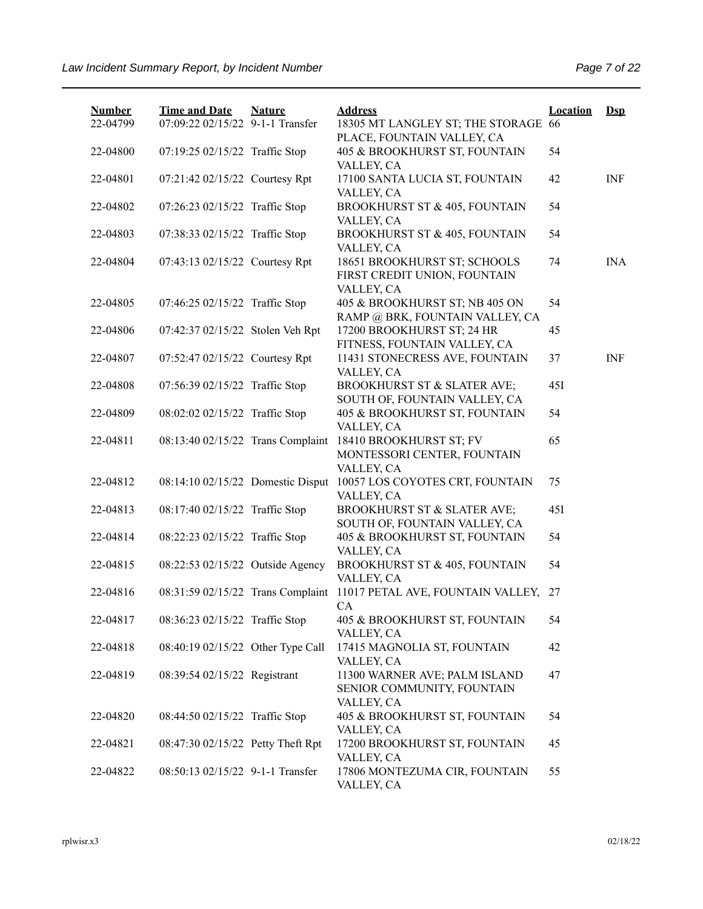| <b>Number</b> | <b>Time and Date</b>              | <b>Nature</b> | <b>Address</b>                                               | <b>Location</b> | $Dsp$      |
|---------------|-----------------------------------|---------------|--------------------------------------------------------------|-----------------|------------|
| 22-04799      | 07:09:22 02/15/22 9-1-1 Transfer  |               | 18305 MT LANGLEY ST; THE STORAGE 66                          |                 |            |
| 22-04800      | 07:19:25 02/15/22 Traffic Stop    |               | PLACE, FOUNTAIN VALLEY, CA<br>405 & BROOKHURST ST, FOUNTAIN  | 54              |            |
|               |                                   |               | VALLEY, CA                                                   |                 |            |
| 22-04801      | 07:21:42 02/15/22 Courtesy Rpt    |               | 17100 SANTA LUCIA ST, FOUNTAIN                               | 42              | <b>INF</b> |
|               |                                   |               | VALLEY, CA                                                   |                 |            |
| 22-04802      | 07:26:23 02/15/22 Traffic Stop    |               | BROOKHURST ST & 405, FOUNTAIN                                | 54              |            |
|               |                                   |               | VALLEY, CA                                                   |                 |            |
| 22-04803      | 07:38:33 02/15/22 Traffic Stop    |               | BROOKHURST ST & 405, FOUNTAIN                                | 54              |            |
|               |                                   |               | VALLEY, CA                                                   |                 |            |
| 22-04804      | 07:43:13 02/15/22 Courtesy Rpt    |               | 18651 BROOKHURST ST; SCHOOLS<br>FIRST CREDIT UNION, FOUNTAIN | 74              | <b>INA</b> |
|               |                                   |               | VALLEY, CA                                                   |                 |            |
| 22-04805      | 07:46:25 02/15/22 Traffic Stop    |               | 405 & BROOKHURST ST; NB 405 ON                               | 54              |            |
|               |                                   |               | RAMP @ BRK, FOUNTAIN VALLEY, CA                              |                 |            |
| 22-04806      | 07:42:37 02/15/22 Stolen Veh Rpt  |               | 17200 BROOKHURST ST; 24 HR                                   | 45              |            |
|               |                                   |               | FITNESS, FOUNTAIN VALLEY, CA                                 |                 |            |
| 22-04807      | 07:52:47 02/15/22 Courtesy Rpt    |               | 11431 STONECRESS AVE, FOUNTAIN                               | 37              | <b>INF</b> |
|               |                                   |               | VALLEY, CA                                                   |                 |            |
| 22-04808      | 07:56:39 02/15/22 Traffic Stop    |               | BROOKHURST ST & SLATER AVE;                                  | 45I             |            |
|               |                                   |               | SOUTH OF, FOUNTAIN VALLEY, CA                                |                 |            |
| 22-04809      | 08:02:02 02/15/22 Traffic Stop    |               | 405 & BROOKHURST ST, FOUNTAIN                                | 54              |            |
| 22-04811      | 08:13:40 02/15/22 Trans Complaint |               | VALLEY, CA<br>18410 BROOKHURST ST; FV                        | 65              |            |
|               |                                   |               | MONTESSORI CENTER, FOUNTAIN                                  |                 |            |
|               |                                   |               | VALLEY, CA                                                   |                 |            |
| 22-04812      | 08:14:10 02/15/22 Domestic Disput |               | 10057 LOS COYOTES CRT, FOUNTAIN                              | 75              |            |
|               |                                   |               | VALLEY, CA                                                   |                 |            |
| 22-04813      | 08:17:40 02/15/22 Traffic Stop    |               | BROOKHURST ST & SLATER AVE;                                  | 45I             |            |
|               |                                   |               | SOUTH OF, FOUNTAIN VALLEY, CA                                |                 |            |
| 22-04814      | 08:22:23 02/15/22 Traffic Stop    |               | 405 & BROOKHURST ST, FOUNTAIN                                | 54              |            |
|               |                                   |               | VALLEY, CA                                                   |                 |            |
| 22-04815      | 08:22:53 02/15/22 Outside Agency  |               | BROOKHURST ST & 405, FOUNTAIN                                | 54              |            |
| 22-04816      | 08:31:59 02/15/22 Trans Complaint |               | VALLEY, CA<br>11017 PETAL AVE, FOUNTAIN VALLEY,              | 27              |            |
|               |                                   |               | CA                                                           |                 |            |
| 22-04817      | 08:36:23 02/15/22 Traffic Stop    |               | 405 & BROOKHURST ST, FOUNTAIN                                | 54              |            |
|               |                                   |               | VALLEY, CA                                                   |                 |            |
| 22-04818      | 08:40:19 02/15/22 Other Type Call |               | 17415 MAGNOLIA ST, FOUNTAIN                                  | 42              |            |
|               |                                   |               | VALLEY, CA                                                   |                 |            |
| 22-04819      | 08:39:54 02/15/22 Registrant      |               | 11300 WARNER AVE; PALM ISLAND                                | 47              |            |
|               |                                   |               | SENIOR COMMUNITY, FOUNTAIN                                   |                 |            |
|               |                                   |               | VALLEY, CA                                                   |                 |            |
| 22-04820      | 08:44:50 02/15/22 Traffic Stop    |               | 405 & BROOKHURST ST, FOUNTAIN                                | 54              |            |
| 22-04821      | 08:47:30 02/15/22 Petty Theft Rpt |               | VALLEY, CA<br>17200 BROOKHURST ST, FOUNTAIN                  | 45              |            |
|               |                                   |               | VALLEY, CA                                                   |                 |            |
| 22-04822      | 08:50:13 02/15/22 9-1-1 Transfer  |               | 17806 MONTEZUMA CIR, FOUNTAIN                                | 55              |            |
|               |                                   |               | VALLEY, CA                                                   |                 |            |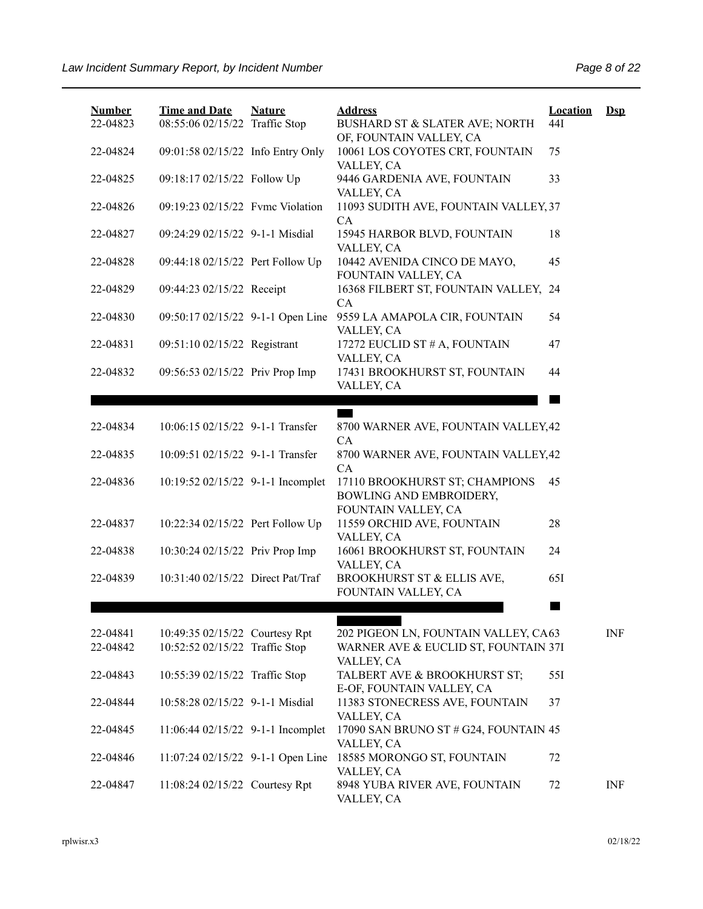| <b>Number</b><br>22-04823 | <b>Time and Date</b><br>08:55:06 02/15/22 Traffic Stop           | <b>Nature</b> | <b>Address</b><br>BUSHARD ST & SLATER AVE; NORTH                             | Location<br>44I | $\mathbf{Dsp}$ |
|---------------------------|------------------------------------------------------------------|---------------|------------------------------------------------------------------------------|-----------------|----------------|
| 22-04824                  | 09:01:58 02/15/22 Info Entry Only                                |               | OF, FOUNTAIN VALLEY, CA<br>10061 LOS COYOTES CRT, FOUNTAIN<br>VALLEY, CA     | 75              |                |
| 22-04825                  | 09:18:17 02/15/22 Follow Up                                      |               | 9446 GARDENIA AVE, FOUNTAIN<br>VALLEY, CA                                    | 33              |                |
| 22-04826                  | 09:19:23 02/15/22 Fvmc Violation                                 |               | 11093 SUDITH AVE, FOUNTAIN VALLEY, 37<br>CA                                  |                 |                |
| 22-04827                  | 09:24:29 02/15/22 9-1-1 Misdial                                  |               | 15945 HARBOR BLVD, FOUNTAIN<br>VALLEY, CA                                    | 18              |                |
| 22-04828                  | 09:44:18 02/15/22 Pert Follow Up                                 |               | 10442 AVENIDA CINCO DE MAYO,<br>FOUNTAIN VALLEY, CA                          | 45              |                |
| 22-04829                  | 09:44:23 02/15/22 Receipt                                        |               | 16368 FILBERT ST, FOUNTAIN VALLEY, 24<br>CA                                  |                 |                |
| 22-04830                  | 09:50:17 02/15/22 9-1-1 Open Line                                |               | 9559 LA AMAPOLA CIR, FOUNTAIN<br>VALLEY, CA                                  | 54              |                |
| 22-04831                  | 09:51:10 02/15/22 Registrant                                     |               | 17272 EUCLID ST # A, FOUNTAIN<br>VALLEY, CA                                  | 47              |                |
| 22-04832                  | 09:56:53 02/15/22 Priv Prop Imp                                  |               | 17431 BROOKHURST ST, FOUNTAIN<br>VALLEY, CA                                  | 44              |                |
|                           |                                                                  |               |                                                                              |                 |                |
| 22-04834                  | 10:06:15 02/15/22 9-1-1 Transfer                                 |               | E O<br>8700 WARNER AVE, FOUNTAIN VALLEY, 42                                  |                 |                |
| 22-04835                  | 10:09:51 02/15/22 9-1-1 Transfer                                 |               | CA<br>8700 WARNER AVE, FOUNTAIN VALLEY, 42                                   |                 |                |
| 22-04836                  | 10:19:52 02/15/22 9-1-1 Incomplet                                |               | CA<br>17110 BROOKHURST ST; CHAMPIONS<br>BOWLING AND EMBROIDERY,              | 45              |                |
| 22-04837                  | 10:22:34 02/15/22 Pert Follow Up                                 |               | FOUNTAIN VALLEY, CA<br>11559 ORCHID AVE, FOUNTAIN<br>VALLEY, CA              | 28              |                |
| 22-04838                  | 10:30:24 02/15/22 Priv Prop Imp                                  |               | 16061 BROOKHURST ST, FOUNTAIN<br>VALLEY, CA                                  | 24              |                |
| 22-04839                  | 10:31:40 02/15/22 Direct Pat/Traf                                |               | BROOKHURST ST & ELLIS AVE,<br>FOUNTAIN VALLEY, CA                            | 651             |                |
|                           |                                                                  |               |                                                                              |                 |                |
| 22-04841<br>22-04842      | 10:49:35 02/15/22 Courtesy Rpt<br>10:52:52 02/15/22 Traffic Stop |               | 202 PIGEON LN, FOUNTAIN VALLEY, CA63<br>WARNER AVE & EUCLID ST, FOUNTAIN 37I |                 | INF            |
| 22-04843                  | 10:55:39 02/15/22 Traffic Stop                                   |               | VALLEY, CA<br>TALBERT AVE & BROOKHURST ST;                                   | 55I             |                |
| 22-04844                  | 10:58:28 02/15/22 9-1-1 Misdial                                  |               | E-OF, FOUNTAIN VALLEY, CA<br>11383 STONECRESS AVE, FOUNTAIN<br>VALLEY, CA    | 37              |                |
| 22-04845                  | 11:06:44 02/15/22 9-1-1 Incomplet                                |               | 17090 SAN BRUNO ST # G24, FOUNTAIN 45<br>VALLEY, CA                          |                 |                |
| 22-04846                  | 11:07:24 02/15/22 9-1-1 Open Line                                |               | 18585 MORONGO ST, FOUNTAIN<br>VALLEY, CA                                     | 72              |                |
| 22-04847                  | 11:08:24 02/15/22 Courtesy Rpt                                   |               | 8948 YUBA RIVER AVE, FOUNTAIN<br>VALLEY, CA                                  | 72              | INF            |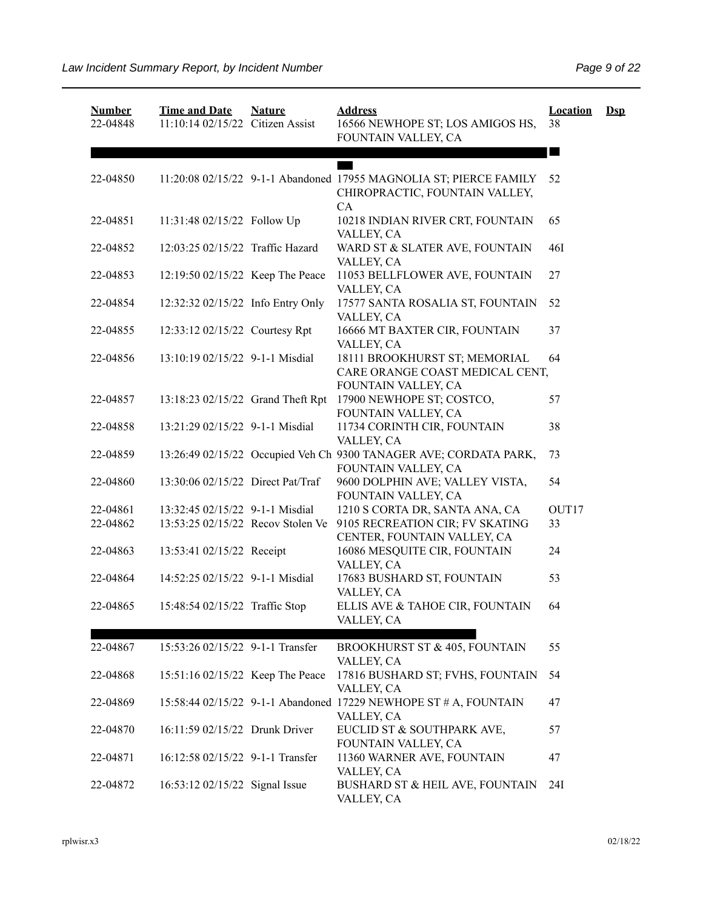| <b>Number</b><br>22-04848 | <b>Time and Date</b><br>11:10:14 02/15/22 Citizen Assist | <b>Nature</b> | <b>Address</b><br>16566 NEWHOPE ST; LOS AMIGOS HS,<br>FOUNTAIN VALLEY, CA                            | <b>Location</b><br>38 | $\mathbf{Dsp}$ |
|---------------------------|----------------------------------------------------------|---------------|------------------------------------------------------------------------------------------------------|-----------------------|----------------|
|                           |                                                          |               |                                                                                                      |                       |                |
| 22-04850                  |                                                          |               | 11:20:08 02/15/22 9-1-1 Abandoned 17955 MAGNOLIA ST; PIERCE FAMILY<br>CHIROPRACTIC, FOUNTAIN VALLEY, | 52                    |                |
| 22-04851                  | 11:31:48 02/15/22 Follow Up                              |               | CA<br>10218 INDIAN RIVER CRT, FOUNTAIN<br>VALLEY, CA                                                 | 65                    |                |
| 22-04852                  | 12:03:25 02/15/22 Traffic Hazard                         |               | WARD ST & SLATER AVE, FOUNTAIN<br>VALLEY, CA                                                         | <b>46I</b>            |                |
| 22-04853                  | 12:19:50 02/15/22 Keep The Peace                         |               | 11053 BELLFLOWER AVE, FOUNTAIN<br>VALLEY, CA                                                         | 27                    |                |
| 22-04854                  | 12:32:32 02/15/22 Info Entry Only                        |               | 17577 SANTA ROSALIA ST, FOUNTAIN<br>VALLEY, CA                                                       | 52                    |                |
| 22-04855                  | 12:33:12 02/15/22 Courtesy Rpt                           |               | 16666 MT BAXTER CIR, FOUNTAIN<br>VALLEY, CA                                                          | 37                    |                |
| 22-04856                  | 13:10:19 02/15/22 9-1-1 Misdial                          |               | 18111 BROOKHURST ST; MEMORIAL<br>CARE ORANGE COAST MEDICAL CENT,<br>FOUNTAIN VALLEY, CA              | 64                    |                |
| 22-04857                  | 13:18:23 02/15/22 Grand Theft Rpt                        |               | 17900 NEWHOPE ST; COSTCO,<br>FOUNTAIN VALLEY, CA                                                     | 57                    |                |
| 22-04858                  | 13:21:29 02/15/22 9-1-1 Misdial                          |               | 11734 CORINTH CIR, FOUNTAIN<br>VALLEY, CA                                                            | 38                    |                |
| 22-04859                  |                                                          |               | 13:26:49 02/15/22 Occupied Veh Ch 9300 TANAGER AVE; CORDATA PARK,<br>FOUNTAIN VALLEY, CA             | 73                    |                |
| 22-04860                  | 13:30:06 02/15/22 Direct Pat/Traf                        |               | 9600 DOLPHIN AVE; VALLEY VISTA,<br>FOUNTAIN VALLEY, CA                                               | 54                    |                |
| 22-04861                  | 13:32:45 02/15/22 9-1-1 Misdial                          |               | 1210 S CORTA DR, SANTA ANA, CA                                                                       | OUT17                 |                |
| 22-04862                  | 13:53:25 02/15/22 Recov Stolen Ve                        |               | 9105 RECREATION CIR; FV SKATING<br>CENTER, FOUNTAIN VALLEY, CA                                       | 33                    |                |
| 22-04863                  | 13:53:41 02/15/22 Receipt                                |               | 16086 MESQUITE CIR, FOUNTAIN<br>VALLEY, CA                                                           | 24                    |                |
| 22-04864                  | 14:52:25 02/15/22 9-1-1 Misdial                          |               | 17683 BUSHARD ST, FOUNTAIN<br>VALLEY, CA                                                             | 53                    |                |
| 22-04865                  | 15:48:54 02/15/22 Traffic Stop                           |               | ELLIS AVE & TAHOE CIR, FOUNTAIN<br>VALLEY, CA                                                        | 64                    |                |
| 22-04867                  | 15:53:26 02/15/22 9-1-1 Transfer                         |               | <b>BROOKHURST ST &amp; 405, FOUNTAIN</b><br>VALLEY, CA                                               | 55                    |                |
| 22-04868                  | 15:51:16 02/15/22 Keep The Peace                         |               | 17816 BUSHARD ST; FVHS, FOUNTAIN<br>VALLEY, CA                                                       | 54                    |                |
| 22-04869                  |                                                          |               | 15:58:44 02/15/22 9-1-1 Abandoned 17229 NEWHOPE ST # A, FOUNTAIN<br>VALLEY, CA                       | 47                    |                |
| 22-04870                  | 16:11:59 02/15/22 Drunk Driver                           |               | EUCLID ST & SOUTHPARK AVE,<br>FOUNTAIN VALLEY, CA                                                    | 57                    |                |
| 22-04871                  | 16:12:58 02/15/22 9-1-1 Transfer                         |               | 11360 WARNER AVE, FOUNTAIN<br>VALLEY, CA                                                             | 47                    |                |
| 22-04872                  | 16:53:12 02/15/22 Signal Issue                           |               | BUSHARD ST & HEIL AVE, FOUNTAIN<br>VALLEY, CA                                                        | 24I                   |                |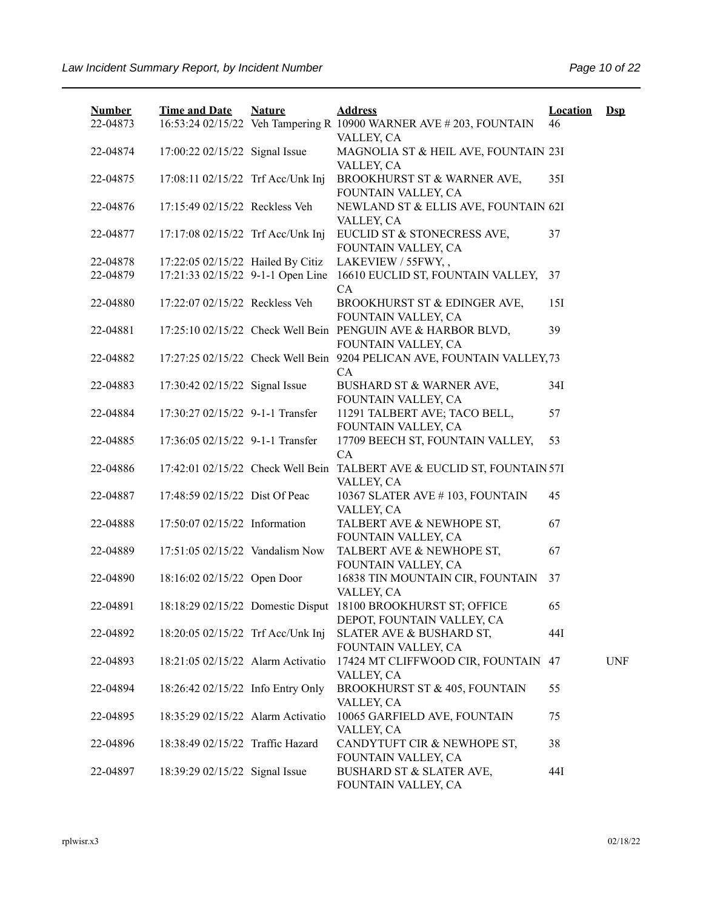| <b>Number</b><br>22-04873 | <b>Time and Date</b>              | <b>Nature</b> | <b>Address</b><br>16:53:24 02/15/22 Veh Tampering R 10900 WARNER AVE # 203, FOUNTAIN        | <b>Location</b><br>46 | $\mathbf{Dsp}$ |
|---------------------------|-----------------------------------|---------------|---------------------------------------------------------------------------------------------|-----------------------|----------------|
| 22-04874                  | 17:00:22 02/15/22 Signal Issue    |               | VALLEY, CA<br>MAGNOLIA ST & HEIL AVE, FOUNTAIN 23I<br>VALLEY, CA                            |                       |                |
| 22-04875                  | 17:08:11 02/15/22 Trf Acc/Unk Inj |               | BROOKHURST ST & WARNER AVE,<br>FOUNTAIN VALLEY, CA                                          | 35I                   |                |
| 22-04876                  | 17:15:49 02/15/22 Reckless Veh    |               | NEWLAND ST & ELLIS AVE, FOUNTAIN 62I<br>VALLEY, CA                                          |                       |                |
| 22-04877                  | 17:17:08 02/15/22 Trf Acc/Unk Inj |               | EUCLID ST & STONECRESS AVE,<br>FOUNTAIN VALLEY, CA                                          | 37                    |                |
| 22-04878                  | 17:22:05 02/15/22 Hailed By Citiz |               | LAKEVIEW / 55FWY,,                                                                          |                       |                |
| 22-04879                  | 17:21:33 02/15/22 9-1-1 Open Line |               | 16610 EUCLID ST, FOUNTAIN VALLEY,<br>CA.                                                    | 37                    |                |
| 22-04880                  | 17:22:07 02/15/22 Reckless Veh    |               | BROOKHURST ST & EDINGER AVE,<br>FOUNTAIN VALLEY, CA                                         | 15I                   |                |
| 22-04881                  |                                   |               | 17:25:10 02/15/22 Check Well Bein PENGUIN AVE & HARBOR BLVD,<br>FOUNTAIN VALLEY, CA         | 39                    |                |
| 22-04882                  |                                   |               | 17:27:25 02/15/22 Check Well Bein 9204 PELICAN AVE, FOUNTAIN VALLEY, 73<br>CA               |                       |                |
| 22-04883                  | 17:30:42 02/15/22 Signal Issue    |               | <b>BUSHARD ST &amp; WARNER AVE,</b><br>FOUNTAIN VALLEY, CA                                  | 34I                   |                |
| 22-04884                  | 17:30:27 02/15/22 9-1-1 Transfer  |               | 11291 TALBERT AVE; TACO BELL,<br>FOUNTAIN VALLEY, CA                                        | 57                    |                |
| 22-04885                  | 17:36:05 02/15/22 9-1-1 Transfer  |               | 17709 BEECH ST, FOUNTAIN VALLEY,<br>CA                                                      | 53                    |                |
| 22-04886                  | 17:42:01 02/15/22 Check Well Bein |               | TALBERT AVE & EUCLID ST, FOUNTAIN 57I<br>VALLEY, CA                                         |                       |                |
| 22-04887                  | 17:48:59 02/15/22 Dist Of Peac    |               | 10367 SLATER AVE #103, FOUNTAIN<br>VALLEY, CA                                               | 45                    |                |
| 22-04888                  | 17:50:07 02/15/22 Information     |               | TALBERT AVE & NEWHOPE ST,<br>FOUNTAIN VALLEY, CA                                            | 67                    |                |
| 22-04889                  | 17:51:05 02/15/22 Vandalism Now   |               | TALBERT AVE & NEWHOPE ST,<br>FOUNTAIN VALLEY, CA                                            | 67                    |                |
| 22-04890                  | 18:16:02 02/15/22 Open Door       |               | 16838 TIN MOUNTAIN CIR, FOUNTAIN<br>VALLEY, CA                                              | 37                    |                |
| 22-04891                  |                                   |               | 18:18:29 02/15/22 Domestic Disput 18100 BROOKHURST ST; OFFICE<br>DEPOT, FOUNTAIN VALLEY, CA | 65                    |                |
| 22-04892                  | 18:20:05 02/15/22 Trf Acc/Unk Inj |               | SLATER AVE & BUSHARD ST,<br>FOUNTAIN VALLEY, CA                                             | 44I                   |                |
| 22-04893                  | 18:21:05 02/15/22 Alarm Activatio |               | 17424 MT CLIFFWOOD CIR, FOUNTAIN 47<br>VALLEY, CA                                           |                       | <b>UNF</b>     |
| 22-04894                  | 18:26:42 02/15/22 Info Entry Only |               | BROOKHURST ST & 405, FOUNTAIN<br>VALLEY, CA                                                 | 55                    |                |
| 22-04895                  | 18:35:29 02/15/22 Alarm Activatio |               | 10065 GARFIELD AVE, FOUNTAIN<br>VALLEY, CA                                                  | 75                    |                |
| 22-04896                  | 18:38:49 02/15/22 Traffic Hazard  |               | CANDYTUFT CIR & NEWHOPE ST,<br>FOUNTAIN VALLEY, CA                                          | 38                    |                |
| 22-04897                  | 18:39:29 02/15/22 Signal Issue    |               | BUSHARD ST & SLATER AVE,<br>FOUNTAIN VALLEY, CA                                             | 44I                   |                |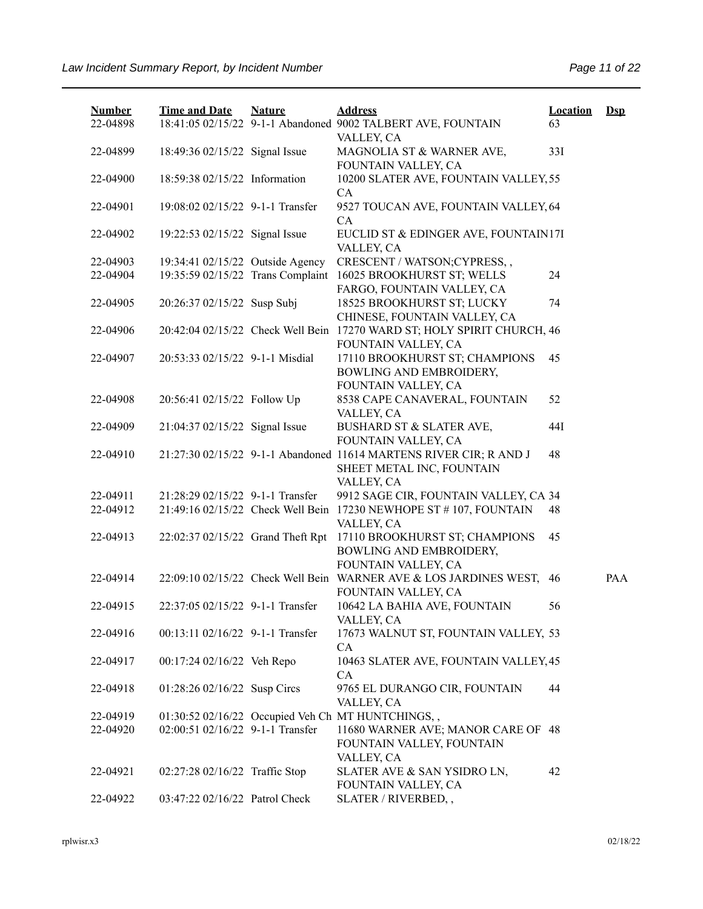| <b>Number</b><br>22-04898 | <b>Time and Date</b>              | <b>Nature</b>                     | <b>Address</b><br>18:41:05 02/15/22 9-1-1 Abandoned 9002 TALBERT AVE, FOUNTAIN<br>VALLEY, CA                  | <b>Location</b><br>63 | $\mathbf{Dsp}$ |
|---------------------------|-----------------------------------|-----------------------------------|---------------------------------------------------------------------------------------------------------------|-----------------------|----------------|
| 22-04899                  | 18:49:36 02/15/22 Signal Issue    |                                   | MAGNOLIA ST & WARNER AVE,<br>FOUNTAIN VALLEY, CA                                                              | 33I                   |                |
| 22-04900                  | 18:59:38 02/15/22 Information     |                                   | 10200 SLATER AVE, FOUNTAIN VALLEY, 55<br>CA                                                                   |                       |                |
| 22-04901                  | 19:08:02 02/15/22 9-1-1 Transfer  |                                   | 9527 TOUCAN AVE, FOUNTAIN VALLEY, 64<br>CA                                                                    |                       |                |
| 22-04902                  | 19:22:53 02/15/22 Signal Issue    |                                   | EUCLID ST & EDINGER AVE, FOUNTAIN17I<br>VALLEY, CA                                                            |                       |                |
| 22-04903                  | 19:34:41 02/15/22 Outside Agency  |                                   | CRESCENT / WATSON; CYPRESS,,                                                                                  |                       |                |
| 22-04904                  |                                   | 19:35:59 02/15/22 Trans Complaint | 16025 BROOKHURST ST; WELLS<br>FARGO, FOUNTAIN VALLEY, CA                                                      | 24                    |                |
| 22-04905                  | 20:26:37 02/15/22 Susp Subj       |                                   | 18525 BROOKHURST ST; LUCKY<br>CHINESE, FOUNTAIN VALLEY, CA                                                    | 74                    |                |
| 22-04906                  |                                   |                                   | 20:42:04 02/15/22 Check Well Bein 17270 WARD ST; HOLY SPIRIT CHURCH, 46<br>FOUNTAIN VALLEY, CA                |                       |                |
| 22-04907                  | 20:53:33 02/15/22 9-1-1 Misdial   |                                   | 17110 BROOKHURST ST; CHAMPIONS<br>BOWLING AND EMBROIDERY,<br>FOUNTAIN VALLEY, CA                              | 45                    |                |
| 22-04908                  | 20:56:41 02/15/22 Follow Up       |                                   | 8538 CAPE CANAVERAL, FOUNTAIN<br>VALLEY, CA                                                                   | 52                    |                |
| 22-04909                  | 21:04:37 02/15/22 Signal Issue    |                                   | BUSHARD ST & SLATER AVE,<br>FOUNTAIN VALLEY, CA                                                               | 44I                   |                |
| 22-04910                  |                                   |                                   | 21:27:30 02/15/22 9-1-1 Abandoned 11614 MARTENS RIVER CIR; R AND J<br>SHEET METAL INC, FOUNTAIN<br>VALLEY, CA | 48                    |                |
| 22-04911                  | 21:28:29 02/15/22 9-1-1 Transfer  |                                   | 9912 SAGE CIR, FOUNTAIN VALLEY, CA 34                                                                         |                       |                |
| 22-04912                  |                                   |                                   | 21:49:16 02/15/22 Check Well Bein 17230 NEWHOPE ST #107, FOUNTAIN<br>VALLEY, CA                               | 48                    |                |
| 22-04913                  | 22:02:37 02/15/22 Grand Theft Rpt |                                   | 17110 BROOKHURST ST; CHAMPIONS<br>BOWLING AND EMBROIDERY,<br>FOUNTAIN VALLEY, CA                              | 45                    |                |
| 22-04914                  |                                   |                                   | 22:09:10 02/15/22 Check Well Bein WARNER AVE & LOS JARDINES WEST, 46<br>FOUNTAIN VALLEY, CA                   |                       | PAA            |
| 22-04915                  | 22:37:05 02/15/22 9-1-1 Transfer  |                                   | 10642 LA BAHIA AVE, FOUNTAIN<br>VALLEY, CA                                                                    | 56                    |                |
| 22-04916                  | 00:13:11 02/16/22 9-1-1 Transfer  |                                   | 17673 WALNUT ST, FOUNTAIN VALLEY, 53<br>CA                                                                    |                       |                |
| 22-04917                  | 00:17:24 02/16/22 Veh Repo        |                                   | 10463 SLATER AVE, FOUNTAIN VALLEY, 45<br><b>CA</b>                                                            |                       |                |
| 22-04918                  | 01:28:26 02/16/22 Susp Circs      |                                   | 9765 EL DURANGO CIR, FOUNTAIN<br>VALLEY, CA                                                                   | 44                    |                |
| 22-04919                  |                                   |                                   | 01:30:52 02/16/22 Occupied Veh Ch MT HUNTCHINGS,,                                                             |                       |                |
| 22-04920                  | 02:00:51 02/16/22 9-1-1 Transfer  |                                   | 11680 WARNER AVE; MANOR CARE OF 48<br>FOUNTAIN VALLEY, FOUNTAIN<br>VALLEY, CA                                 |                       |                |
| 22-04921                  | 02:27:28 02/16/22 Traffic Stop    |                                   | SLATER AVE & SAN YSIDRO LN,<br>FOUNTAIN VALLEY, CA                                                            | 42                    |                |
| 22-04922                  | 03:47:22 02/16/22 Patrol Check    |                                   | SLATER / RIVERBED,,                                                                                           |                       |                |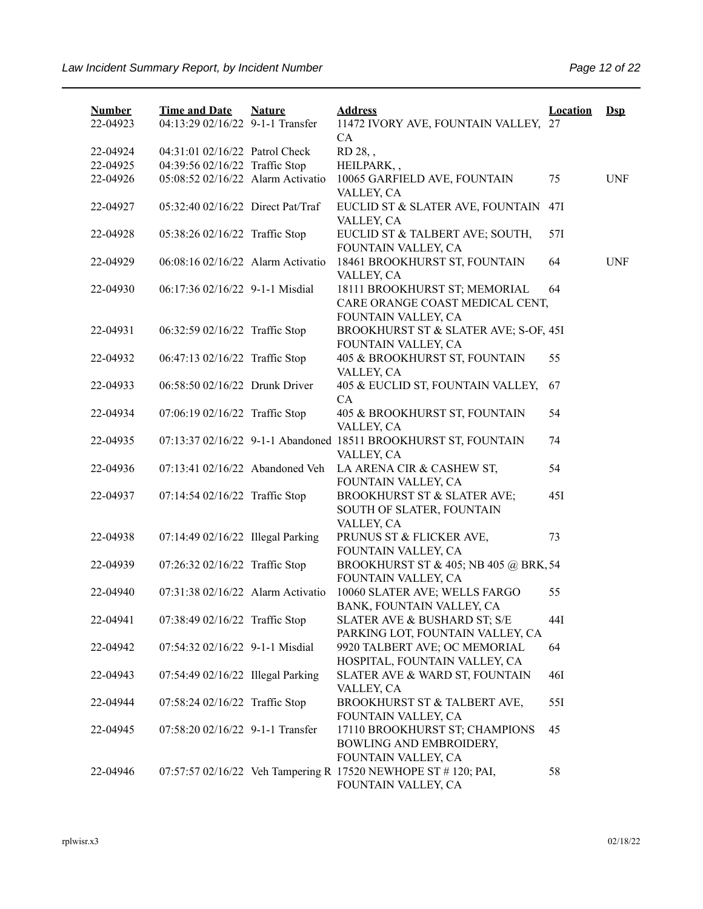| <b>Number</b><br>22-04923 | <b>Time and Date</b><br>04:13:29 02/16/22 9-1-1 Transfer | <b>Nature</b> | <b>Address</b><br>11472 IVORY AVE, FOUNTAIN VALLEY, 27          | <b>Location</b> | $Ds$       |
|---------------------------|----------------------------------------------------------|---------------|-----------------------------------------------------------------|-----------------|------------|
|                           |                                                          |               | CA                                                              |                 |            |
| 22-04924                  | 04:31:01 02/16/22 Patrol Check                           |               | RD 28,,                                                         |                 |            |
| 22-04925                  | 04:39:56 02/16/22 Traffic Stop                           |               | HEILPARK,,                                                      |                 |            |
| 22-04926                  | 05:08:52 02/16/22 Alarm Activatio                        |               | 10065 GARFIELD AVE, FOUNTAIN                                    | 75              | <b>UNF</b> |
|                           |                                                          |               | VALLEY, CA                                                      |                 |            |
| 22-04927                  | 05:32:40 02/16/22 Direct Pat/Traf                        |               | EUCLID ST & SLATER AVE, FOUNTAIN                                | 47I             |            |
|                           |                                                          |               | VALLEY, CA                                                      |                 |            |
| 22-04928                  | 05:38:26 02/16/22 Traffic Stop                           |               | EUCLID ST & TALBERT AVE; SOUTH,                                 | 57I             |            |
|                           |                                                          |               | FOUNTAIN VALLEY, CA                                             |                 |            |
| 22-04929                  | 06:08:16 02/16/22 Alarm Activatio                        |               | 18461 BROOKHURST ST, FOUNTAIN                                   | 64              | <b>UNF</b> |
|                           |                                                          |               | VALLEY, CA                                                      |                 |            |
| 22-04930                  | 06:17:36 02/16/22 9-1-1 Misdial                          |               | 18111 BROOKHURST ST; MEMORIAL                                   | 64              |            |
|                           |                                                          |               | CARE ORANGE COAST MEDICAL CENT,                                 |                 |            |
|                           |                                                          |               | FOUNTAIN VALLEY, CA                                             |                 |            |
| 22-04931                  | 06:32:59 02/16/22 Traffic Stop                           |               | BROOKHURST ST & SLATER AVE; S-OF, 45I                           |                 |            |
|                           |                                                          |               | FOUNTAIN VALLEY, CA                                             |                 |            |
| 22-04932                  | 06:47:13 02/16/22 Traffic Stop                           |               | 405 & BROOKHURST ST, FOUNTAIN                                   | 55              |            |
|                           |                                                          |               | VALLEY, CA                                                      |                 |            |
| 22-04933                  | 06:58:50 02/16/22 Drunk Driver                           |               | 405 & EUCLID ST, FOUNTAIN VALLEY,                               | 67              |            |
|                           |                                                          |               | CA                                                              |                 |            |
| 22-04934                  | 07:06:19 02/16/22 Traffic Stop                           |               | 405 & BROOKHURST ST, FOUNTAIN                                   | 54              |            |
|                           |                                                          |               | VALLEY, CA                                                      |                 |            |
| 22-04935                  |                                                          |               | 07:13:37 02/16/22 9-1-1 Abandoned 18511 BROOKHURST ST, FOUNTAIN | 74              |            |
|                           |                                                          |               | VALLEY, CA                                                      |                 |            |
| 22-04936                  | 07:13:41 02/16/22 Abandoned Veh                          |               | LA ARENA CIR & CASHEW ST,                                       | 54              |            |
|                           |                                                          |               | FOUNTAIN VALLEY, CA                                             |                 |            |
| 22-04937                  | 07:14:54 02/16/22 Traffic Stop                           |               | BROOKHURST ST & SLATER AVE;                                     | 45I             |            |
|                           |                                                          |               | SOUTH OF SLATER, FOUNTAIN                                       |                 |            |
|                           |                                                          |               | VALLEY, CA                                                      |                 |            |
| 22-04938                  | 07:14:49 02/16/22 Illegal Parking                        |               | PRUNUS ST & FLICKER AVE,                                        | 73              |            |
|                           |                                                          |               | FOUNTAIN VALLEY, CA                                             |                 |            |
| 22-04939                  | 07:26:32 02/16/22 Traffic Stop                           |               | BROOKHURST ST & 405; NB 405 @ BRK, 54                           |                 |            |
|                           |                                                          |               | FOUNTAIN VALLEY, CA                                             |                 |            |
| 22-04940                  | 07:31:38 02/16/22 Alarm Activatio                        |               | 10060 SLATER AVE; WELLS FARGO                                   | 55              |            |
|                           |                                                          |               | BANK, FOUNTAIN VALLEY, CA                                       |                 |            |
| 22-04941                  | 07:38:49 02/16/22 Traffic Stop                           |               | SLATER AVE & BUSHARD ST; S/E                                    | 44I             |            |
|                           |                                                          |               | PARKING LOT, FOUNTAIN VALLEY, CA                                |                 |            |
| 22-04942                  | 07:54:32 02/16/22 9-1-1 Misdial                          |               | 9920 TALBERT AVE; OC MEMORIAL                                   | 64              |            |
|                           |                                                          |               | HOSPITAL, FOUNTAIN VALLEY, CA                                   |                 |            |
| 22-04943                  | 07:54:49 02/16/22 Illegal Parking                        |               | SLATER AVE & WARD ST, FOUNTAIN                                  | 46I             |            |
|                           |                                                          |               | VALLEY, CA                                                      |                 |            |
| 22-04944                  | 07:58:24 02/16/22 Traffic Stop                           |               | BROOKHURST ST & TALBERT AVE,                                    | 551             |            |
|                           |                                                          |               | FOUNTAIN VALLEY, CA                                             |                 |            |
| 22-04945                  | 07:58:20 02/16/22 9-1-1 Transfer                         |               | 17110 BROOKHURST ST; CHAMPIONS                                  | 45              |            |
|                           |                                                          |               | BOWLING AND EMBROIDERY,                                         |                 |            |
|                           |                                                          |               | FOUNTAIN VALLEY, CA                                             |                 |            |
| 22-04946                  |                                                          |               | 07:57:57 02/16/22 Veh Tampering R 17520 NEWHOPE ST # 120; PAI,  | 58              |            |
|                           |                                                          |               | FOUNTAIN VALLEY, CA                                             |                 |            |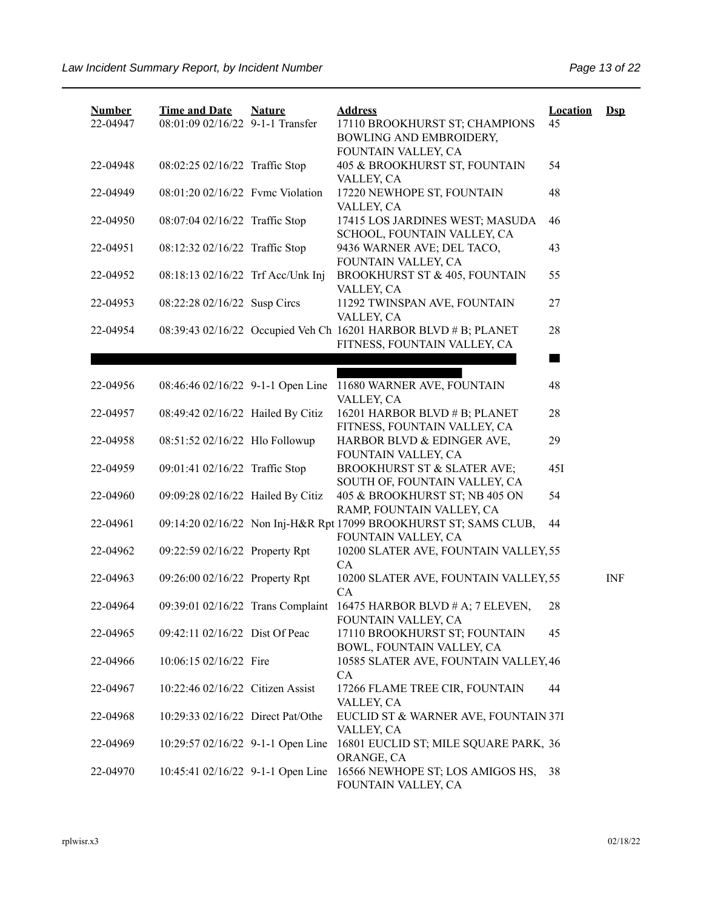| <b>Number</b> | <b>Time and Date</b>              | <b>Nature</b> | <b>Address</b>                                                    | <b>Location</b> | $DsD$      |
|---------------|-----------------------------------|---------------|-------------------------------------------------------------------|-----------------|------------|
| 22-04947      | 08:01:09 02/16/22 9-1-1 Transfer  |               | 17110 BROOKHURST ST; CHAMPIONS<br>BOWLING AND EMBROIDERY,         | 45              |            |
|               |                                   |               | FOUNTAIN VALLEY, CA                                               |                 |            |
| 22-04948      | 08:02:25 02/16/22 Traffic Stop    |               | 405 & BROOKHURST ST, FOUNTAIN<br>VALLEY, CA                       | 54              |            |
| 22-04949      | 08:01:20 02/16/22 Fvmc Violation  |               | 17220 NEWHOPE ST, FOUNTAIN                                        | 48              |            |
|               |                                   |               | VALLEY, CA                                                        |                 |            |
| 22-04950      | 08:07:04 02/16/22 Traffic Stop    |               | 17415 LOS JARDINES WEST; MASUDA<br>SCHOOL, FOUNTAIN VALLEY, CA    | 46              |            |
| 22-04951      | 08:12:32 02/16/22 Traffic Stop    |               | 9436 WARNER AVE; DEL TACO,                                        | 43              |            |
|               |                                   |               | FOUNTAIN VALLEY, CA                                               |                 |            |
| 22-04952      | 08:18:13 02/16/22 Trf Acc/Unk Inj |               | <b>BROOKHURST ST &amp; 405, FOUNTAIN</b><br>VALLEY, CA            | 55              |            |
| 22-04953      | 08:22:28 02/16/22 Susp Circs      |               | 11292 TWINSPAN AVE, FOUNTAIN                                      | 27              |            |
|               |                                   |               | VALLEY, CA                                                        |                 |            |
| 22-04954      |                                   |               | 08:39:43 02/16/22 Occupied Veh Ch 16201 HARBOR BLVD # B; PLANET   | 28              |            |
|               |                                   |               | FITNESS, FOUNTAIN VALLEY, CA                                      |                 |            |
|               |                                   |               |                                                                   |                 |            |
| 22-04956      | 08:46:46 02/16/22 9-1-1 Open Line |               | 11680 WARNER AVE, FOUNTAIN                                        | 48              |            |
|               |                                   |               | VALLEY, CA                                                        |                 |            |
| 22-04957      | 08:49:42 02/16/22 Hailed By Citiz |               | 16201 HARBOR BLVD # B; PLANET                                     | 28              |            |
|               |                                   |               | FITNESS, FOUNTAIN VALLEY, CA                                      |                 |            |
| 22-04958      | 08:51:52 02/16/22 Hlo Followup    |               | HARBOR BLVD & EDINGER AVE,                                        | 29              |            |
|               |                                   |               | FOUNTAIN VALLEY, CA                                               |                 |            |
| 22-04959      | 09:01:41 02/16/22 Traffic Stop    |               | BROOKHURST ST & SLATER AVE;                                       | 45I             |            |
|               |                                   |               | SOUTH OF, FOUNTAIN VALLEY, CA                                     |                 |            |
| 22-04960      | 09:09:28 02/16/22 Hailed By Citiz |               | 405 & BROOKHURST ST; NB 405 ON<br>RAMP, FOUNTAIN VALLEY, CA       | 54              |            |
| 22-04961      |                                   |               | 09:14:20 02/16/22 Non Inj-H&R Rpt 17099 BROOKHURST ST; SAMS CLUB, | 44              |            |
|               |                                   |               | FOUNTAIN VALLEY, CA                                               |                 |            |
| 22-04962      | 09:22:59 02/16/22 Property Rpt    |               | 10200 SLATER AVE, FOUNTAIN VALLEY, 55                             |                 |            |
|               |                                   |               | CA                                                                |                 |            |
| 22-04963      | 09:26:00 02/16/22 Property Rpt    |               | 10200 SLATER AVE, FOUNTAIN VALLEY, 55                             |                 | <b>INF</b> |
|               |                                   |               | CA                                                                |                 |            |
| 22-04964      | 09:39:01 02/16/22 Trans Complaint |               | 16475 HARBOR BLVD # A; 7 ELEVEN,<br>FOUNTAIN VALLEY, CA           | 28              |            |
| 22-04965      | 09:42:11 02/16/22 Dist Of Peac    |               | 17110 BROOKHURST ST; FOUNTAIN                                     | 45              |            |
|               |                                   |               | BOWL, FOUNTAIN VALLEY, CA                                         |                 |            |
| 22-04966      | 10:06:15 02/16/22 Fire            |               | 10585 SLATER AVE, FOUNTAIN VALLEY, 46                             |                 |            |
|               |                                   |               | CA                                                                |                 |            |
| 22-04967      | 10:22:46 02/16/22 Citizen Assist  |               | 17266 FLAME TREE CIR, FOUNTAIN                                    | 44              |            |
|               |                                   |               | VALLEY, CA                                                        |                 |            |
| 22-04968      | 10:29:33 02/16/22 Direct Pat/Othe |               | EUCLID ST & WARNER AVE, FOUNTAIN 37I                              |                 |            |
| 22-04969      | 10:29:57 02/16/22 9-1-1 Open Line |               | VALLEY, CA<br>16801 EUCLID ST; MILE SQUARE PARK, 36               |                 |            |
|               |                                   |               | ORANGE, CA                                                        |                 |            |
| 22-04970      | 10:45:41 02/16/22 9-1-1 Open Line |               | 16566 NEWHOPE ST; LOS AMIGOS HS,                                  | 38              |            |
|               |                                   |               | FOUNTAIN VALLEY, CA                                               |                 |            |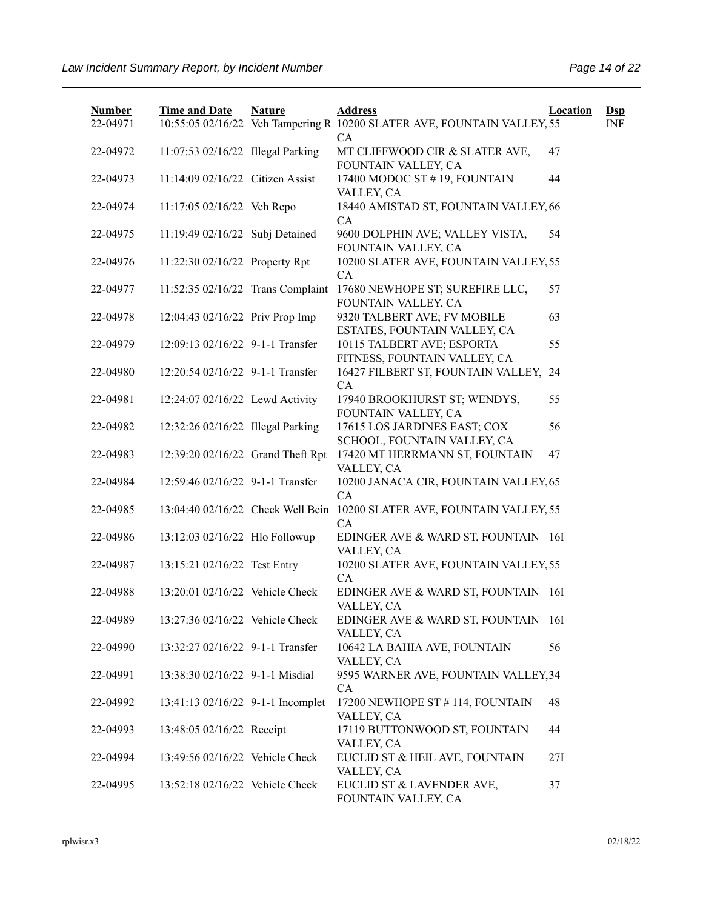| <b>Number</b> | <b>Time and Date</b>              | <b>Nature</b> | <b>Address</b>                                                                | Location | $\mathbf{Dsp}$ |
|---------------|-----------------------------------|---------------|-------------------------------------------------------------------------------|----------|----------------|
| 22-04971      |                                   |               | 10:55:05 02/16/22 Veh Tampering R 10200 SLATER AVE, FOUNTAIN VALLEY, 55<br>CA |          | <b>INF</b>     |
| 22-04972      | 11:07:53 02/16/22 Illegal Parking |               | MT CLIFFWOOD CIR & SLATER AVE,<br>FOUNTAIN VALLEY, CA                         | 47       |                |
| 22-04973      | 11:14:09 02/16/22 Citizen Assist  |               | 17400 MODOC ST #19, FOUNTAIN<br>VALLEY, CA                                    | 44       |                |
| 22-04974      | 11:17:05 02/16/22 Veh Repo        |               | 18440 AMISTAD ST, FOUNTAIN VALLEY, 66<br>CA                                   |          |                |
| 22-04975      | 11:19:49 02/16/22 Subj Detained   |               | 9600 DOLPHIN AVE; VALLEY VISTA,<br>FOUNTAIN VALLEY, CA                        | 54       |                |
| 22-04976      | 11:22:30 02/16/22 Property Rpt    |               | 10200 SLATER AVE, FOUNTAIN VALLEY, 55<br>CA                                   |          |                |
| 22-04977      | 11:52:35 02/16/22 Trans Complaint |               | 17680 NEWHOPE ST; SUREFIRE LLC,<br>FOUNTAIN VALLEY, CA                        | 57       |                |
| 22-04978      | 12:04:43 02/16/22 Priv Prop Imp   |               | 9320 TALBERT AVE; FV MOBILE<br>ESTATES, FOUNTAIN VALLEY, CA                   | 63       |                |
| 22-04979      | 12:09:13 02/16/22 9-1-1 Transfer  |               | 10115 TALBERT AVE; ESPORTA<br>FITNESS, FOUNTAIN VALLEY, CA                    | 55       |                |
| 22-04980      | 12:20:54 02/16/22 9-1-1 Transfer  |               | 16427 FILBERT ST, FOUNTAIN VALLEY, 24<br>CA                                   |          |                |
| 22-04981      | 12:24:07 02/16/22 Lewd Activity   |               | 17940 BROOKHURST ST; WENDYS,<br>FOUNTAIN VALLEY, CA                           | 55       |                |
| 22-04982      | 12:32:26 02/16/22 Illegal Parking |               | 17615 LOS JARDINES EAST; COX<br>SCHOOL, FOUNTAIN VALLEY, CA                   | 56       |                |
| 22-04983      | 12:39:20 02/16/22 Grand Theft Rpt |               | 17420 MT HERRMANN ST, FOUNTAIN<br>VALLEY, CA                                  | 47       |                |
| 22-04984      | 12:59:46 02/16/22 9-1-1 Transfer  |               | 10200 JANACA CIR, FOUNTAIN VALLEY, 65<br>CA                                   |          |                |
| 22-04985      | 13:04:40 02/16/22 Check Well Bein |               | 10200 SLATER AVE, FOUNTAIN VALLEY, 55<br>CA                                   |          |                |
| 22-04986      | 13:12:03 02/16/22 Hlo Followup    |               | EDINGER AVE & WARD ST, FOUNTAIN 16I<br>VALLEY, CA                             |          |                |
| 22-04987      | 13:15:21 02/16/22 Test Entry      |               | 10200 SLATER AVE, FOUNTAIN VALLEY, 55<br>CA                                   |          |                |
| 22-04988      | 13:20:01 02/16/22 Vehicle Check   |               | EDINGER AVE & WARD ST, FOUNTAIN 16I<br>VALLEY, CA                             |          |                |
| 22-04989      | 13:27:36 02/16/22 Vehicle Check   |               | EDINGER AVE & WARD ST, FOUNTAIN 16I<br>VALLEY, CA                             |          |                |
| 22-04990      | 13:32:27 02/16/22 9-1-1 Transfer  |               | 10642 LA BAHIA AVE, FOUNTAIN<br>VALLEY, CA                                    | 56       |                |
| 22-04991      | 13:38:30 02/16/22 9-1-1 Misdial   |               | 9595 WARNER AVE, FOUNTAIN VALLEY, 34<br>CA                                    |          |                |
| 22-04992      | 13:41:13 02/16/22 9-1-1 Incomplet |               | 17200 NEWHOPE ST # 114, FOUNTAIN<br>VALLEY, CA                                | 48       |                |
| 22-04993      | 13:48:05 02/16/22 Receipt         |               | 17119 BUTTONWOOD ST, FOUNTAIN<br>VALLEY, CA                                   | 44       |                |
| 22-04994      | 13:49:56 02/16/22 Vehicle Check   |               | EUCLID ST & HEIL AVE, FOUNTAIN<br>VALLEY, CA                                  | 27I      |                |
| 22-04995      | 13:52:18 02/16/22 Vehicle Check   |               | EUCLID ST & LAVENDER AVE,<br>FOUNTAIN VALLEY, CA                              | 37       |                |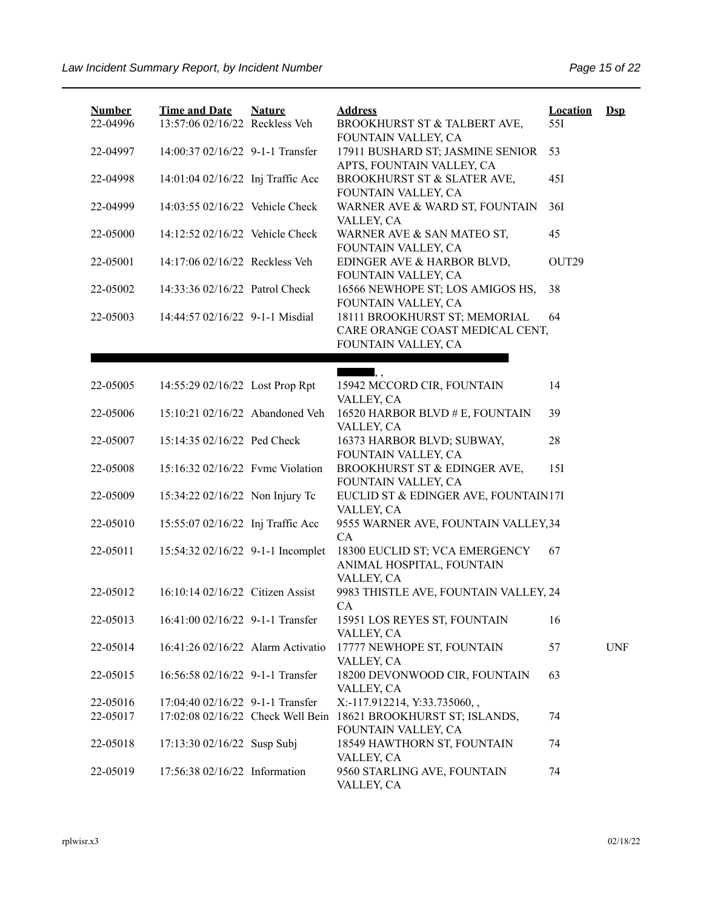| <b>Number</b><br>22-04996 | <b>Time and Date</b><br>13:57:06 02/16/22 Reckless Veh | <b>Nature</b> | <b>Address</b><br>BROOKHURST ST & TALBERT AVE,                                       | <b>Location</b><br>55I | $Dsp$      |
|---------------------------|--------------------------------------------------------|---------------|--------------------------------------------------------------------------------------|------------------------|------------|
| 22-04997                  | 14:00:37 02/16/22 9-1-1 Transfer                       |               | FOUNTAIN VALLEY, CA<br>17911 BUSHARD ST; JASMINE SENIOR<br>APTS, FOUNTAIN VALLEY, CA | 53                     |            |
| 22-04998                  | 14:01:04 02/16/22 Inj Traffic Acc                      |               | BROOKHURST ST & SLATER AVE,<br>FOUNTAIN VALLEY, CA                                   | 45I                    |            |
| 22-04999                  | 14:03:55 02/16/22 Vehicle Check                        |               | WARNER AVE & WARD ST, FOUNTAIN<br>VALLEY, CA                                         | 36I                    |            |
| 22-05000                  | 14:12:52 02/16/22 Vehicle Check                        |               | WARNER AVE & SAN MATEO ST,<br>FOUNTAIN VALLEY, CA                                    | 45                     |            |
| 22-05001                  | 14:17:06 02/16/22 Reckless Veh                         |               | EDINGER AVE & HARBOR BLVD,<br>FOUNTAIN VALLEY, CA                                    | OUT29                  |            |
| 22-05002                  | 14:33:36 02/16/22 Patrol Check                         |               | 16566 NEWHOPE ST; LOS AMIGOS HS,<br>FOUNTAIN VALLEY, CA                              | 38                     |            |
| 22-05003                  | 14:44:57 02/16/22 9-1-1 Misdial                        |               | 18111 BROOKHURST ST; MEMORIAL<br>CARE ORANGE COAST MEDICAL CENT,                     | 64                     |            |
|                           |                                                        |               | FOUNTAIN VALLEY, CA                                                                  |                        |            |
|                           |                                                        |               | $\qquad \qquad \blacksquare, \, ,$                                                   |                        |            |
| 22-05005                  | 14:55:29 02/16/22 Lost Prop Rpt                        |               | 15942 MCCORD CIR, FOUNTAIN<br>VALLEY, CA                                             | 14                     |            |
| 22-05006                  | 15:10:21 02/16/22 Abandoned Veh                        |               | 16520 HARBOR BLVD # E, FOUNTAIN<br>VALLEY, CA                                        | 39                     |            |
| 22-05007                  | 15:14:35 02/16/22 Ped Check                            |               | 16373 HARBOR BLVD; SUBWAY,<br>FOUNTAIN VALLEY, CA                                    | 28                     |            |
| 22-05008                  | 15:16:32 02/16/22 Fvmc Violation                       |               | BROOKHURST ST & EDINGER AVE,<br>FOUNTAIN VALLEY, CA                                  | 15I                    |            |
| 22-05009                  | 15:34:22 02/16/22 Non Injury Tc                        |               | EUCLID ST & EDINGER AVE, FOUNTAIN17I<br>VALLEY, CA                                   |                        |            |
| 22-05010                  | 15:55:07 02/16/22 Inj Traffic Acc                      |               | 9555 WARNER AVE, FOUNTAIN VALLEY, 34<br>CA                                           |                        |            |
| 22-05011                  | 15:54:32 02/16/22 9-1-1 Incomplet                      |               | 18300 EUCLID ST; VCA EMERGENCY<br>ANIMAL HOSPITAL, FOUNTAIN<br>VALLEY, CA            | 67                     |            |
| 22-05012                  | 16:10:14 02/16/22 Citizen Assist                       |               | 9983 THISTLE AVE, FOUNTAIN VALLEY, 24<br>CA                                          |                        |            |
| 22-05013                  | 16:41:00 02/16/22 9-1-1 Transfer                       |               | 15951 LOS REYES ST, FOUNTAIN<br>VALLEY, CA                                           | 16                     |            |
| 22-05014                  | 16:41:26 02/16/22 Alarm Activatio                      |               | 17777 NEWHOPE ST, FOUNTAIN<br>VALLEY, CA                                             | 57                     | <b>UNF</b> |
| 22-05015                  | 16:56:58 02/16/22 9-1-1 Transfer                       |               | 18200 DEVONWOOD CIR, FOUNTAIN<br>VALLEY, CA                                          | 63                     |            |
| 22-05016                  | 17:04:40 02/16/22 9-1-1 Transfer                       |               | X:-117.912214, Y:33.735060,,                                                         |                        |            |
| 22-05017                  | 17:02:08 02/16/22 Check Well Bein                      |               | 18621 BROOKHURST ST; ISLANDS,<br>FOUNTAIN VALLEY, CA                                 | 74                     |            |
| 22-05018                  | 17:13:30 02/16/22 Susp Subj                            |               | 18549 HAWTHORN ST, FOUNTAIN<br>VALLEY, CA                                            | 74                     |            |
| 22-05019                  | 17:56:38 02/16/22 Information                          |               | 9560 STARLING AVE, FOUNTAIN<br>VALLEY, CA                                            | 74                     |            |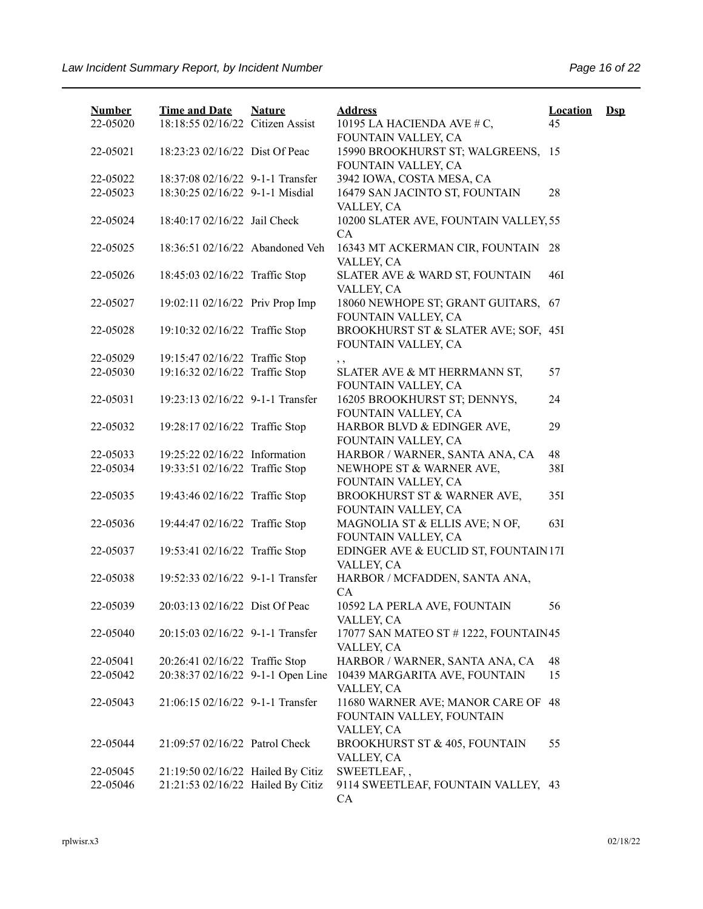| <b>Number</b>        | <b>Time and Date</b>                                                | <b>Nature</b> | <b>Address</b>                                                             | <b>Location</b> | $\mathbf{Dsp}$ |
|----------------------|---------------------------------------------------------------------|---------------|----------------------------------------------------------------------------|-----------------|----------------|
| 22-05020             | 18:18:55 02/16/22 Citizen Assist                                    |               | 10195 LA HACIENDA AVE # C,<br>FOUNTAIN VALLEY, CA                          | 45              |                |
| 22-05021             | 18:23:23 02/16/22 Dist Of Peac                                      |               | 15990 BROOKHURST ST; WALGREENS, 15<br>FOUNTAIN VALLEY, CA                  |                 |                |
| 22-05022             | 18:37:08 02/16/22 9-1-1 Transfer                                    |               | 3942 IOWA, COSTA MESA, CA                                                  |                 |                |
| 22-05023             | 18:30:25 02/16/22 9-1-1 Misdial                                     |               | 16479 SAN JACINTO ST, FOUNTAIN<br>VALLEY, CA                               | 28              |                |
| 22-05024             | 18:40:17 02/16/22 Jail Check                                        |               | 10200 SLATER AVE, FOUNTAIN VALLEY, 55<br><b>CA</b>                         |                 |                |
| 22-05025             | 18:36:51 02/16/22 Abandoned Veh                                     |               | 16343 MT ACKERMAN CIR, FOUNTAIN 28<br>VALLEY, CA                           |                 |                |
| 22-05026             | 18:45:03 02/16/22 Traffic Stop                                      |               | SLATER AVE & WARD ST, FOUNTAIN<br>VALLEY, CA                               | 46I             |                |
| 22-05027             | 19:02:11 02/16/22 Priv Prop Imp                                     |               | 18060 NEWHOPE ST; GRANT GUITARS,<br>FOUNTAIN VALLEY, CA                    | 67              |                |
| 22-05028             | 19:10:32 02/16/22 Traffic Stop                                      |               | BROOKHURST ST & SLATER AVE; SOF, 45I<br>FOUNTAIN VALLEY, CA                |                 |                |
| 22-05029             | 19:15:47 02/16/22 Traffic Stop                                      |               | , ,                                                                        |                 |                |
| 22-05030             | 19:16:32 02/16/22 Traffic Stop                                      |               | SLATER AVE & MT HERRMANN ST,<br>FOUNTAIN VALLEY, CA                        | 57              |                |
| 22-05031             | 19:23:13 02/16/22 9-1-1 Transfer                                    |               | 16205 BROOKHURST ST; DENNYS,<br>FOUNTAIN VALLEY, CA                        | 24              |                |
| 22-05032             | 19:28:17 02/16/22 Traffic Stop                                      |               | HARBOR BLVD & EDINGER AVE,<br>FOUNTAIN VALLEY, CA                          | 29              |                |
| 22-05033             | 19:25:22 02/16/22 Information                                       |               | HARBOR / WARNER, SANTA ANA, CA                                             | 48              |                |
| 22-05034             | 19:33:51 02/16/22 Traffic Stop                                      |               | NEWHOPE ST & WARNER AVE,<br>FOUNTAIN VALLEY, CA                            | 38I             |                |
| 22-05035             | 19:43:46 02/16/22 Traffic Stop                                      |               | BROOKHURST ST & WARNER AVE,<br>FOUNTAIN VALLEY, CA                         | 35I             |                |
| 22-05036             | 19:44:47 02/16/22 Traffic Stop                                      |               | MAGNOLIA ST & ELLIS AVE; N OF,<br>FOUNTAIN VALLEY, CA                      | 63I             |                |
| 22-05037             | 19:53:41 02/16/22 Traffic Stop                                      |               | EDINGER AVE & EUCLID ST, FOUNTAIN 17I<br>VALLEY, CA                        |                 |                |
| 22-05038             | 19:52:33 02/16/22 9-1-1 Transfer                                    |               | HARBOR / MCFADDEN, SANTA ANA,<br>CA                                        |                 |                |
| 22-05039             | 20:03:13 02/16/22 Dist Of Peac                                      |               | 10592 LA PERLA AVE, FOUNTAIN<br>VALLEY, CA                                 | 56              |                |
| 22-05040             | 20:15:03 02/16/22 9-1-1 Transfer                                    |               | 17077 SAN MATEO ST # 1222, FOUNTAIN45<br>VALLEY, CA                        |                 |                |
| 22-05041<br>22-05042 | 20:26:41 02/16/22 Traffic Stop<br>20:38:37 02/16/22 9-1-1 Open Line |               | HARBOR / WARNER, SANTA ANA, CA                                             | 48<br>15        |                |
|                      |                                                                     |               | 10439 MARGARITA AVE, FOUNTAIN<br>VALLEY, CA                                |                 |                |
| 22-05043             | 21:06:15 02/16/22 9-1-1 Transfer                                    |               | 11680 WARNER AVE; MANOR CARE OF<br>FOUNTAIN VALLEY, FOUNTAIN<br>VALLEY, CA | 48              |                |
| 22-05044             | 21:09:57 02/16/22 Patrol Check                                      |               | <b>BROOKHURST ST &amp; 405, FOUNTAIN</b><br>VALLEY, CA                     | 55              |                |
| 22-05045             | 21:19:50 02/16/22 Hailed By Citiz                                   |               | SWEETLEAF,,                                                                |                 |                |
| 22-05046             | 21:21:53 02/16/22 Hailed By Citiz                                   |               | 9114 SWEETLEAF, FOUNTAIN VALLEY, 43<br>CA                                  |                 |                |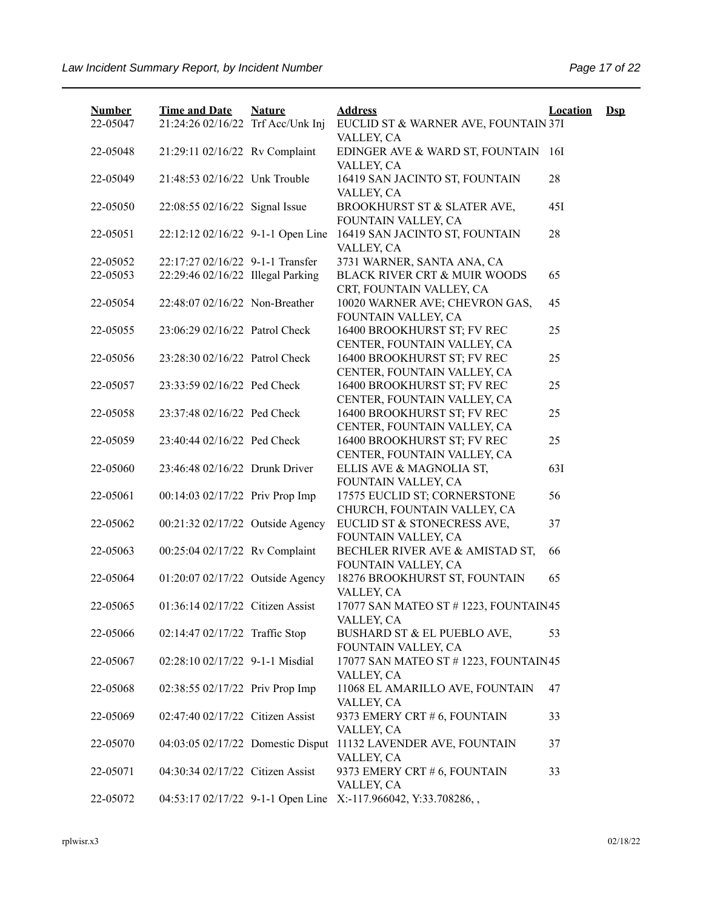| <b>Number</b><br>22-05047 | <b>Time and Date</b><br>21:24:26 02/16/22 Trf Acc/Unk Inj | <b>Nature</b> | <b>Address</b>                                                 | <b>Location</b> | $\mathbf{Dsp}$ |
|---------------------------|-----------------------------------------------------------|---------------|----------------------------------------------------------------|-----------------|----------------|
|                           |                                                           |               | EUCLID ST & WARNER AVE, FOUNTAIN 37I<br>VALLEY, CA             |                 |                |
| 22-05048                  | 21:29:11 02/16/22 Rv Complaint                            |               | EDINGER AVE & WARD ST, FOUNTAIN                                | 16I             |                |
|                           |                                                           |               | VALLEY, CA                                                     |                 |                |
| 22-05049                  | 21:48:53 02/16/22 Unk Trouble                             |               | 16419 SAN JACINTO ST, FOUNTAIN                                 | 28              |                |
|                           |                                                           |               | VALLEY, CA                                                     |                 |                |
| 22-05050                  | 22:08:55 02/16/22 Signal Issue                            |               | BROOKHURST ST & SLATER AVE,                                    | 45I             |                |
|                           |                                                           |               | FOUNTAIN VALLEY, CA                                            |                 |                |
| 22-05051                  | 22:12:12 02/16/22 9-1-1 Open Line                         |               | 16419 SAN JACINTO ST, FOUNTAIN                                 | 28              |                |
|                           |                                                           |               | VALLEY, CA                                                     |                 |                |
| 22-05052                  | 22:17:27 02/16/22 9-1-1 Transfer                          |               | 3731 WARNER, SANTA ANA, CA                                     |                 |                |
| 22-05053                  | 22:29:46 02/16/22 Illegal Parking                         |               | BLACK RIVER CRT & MUIR WOODS                                   | 65              |                |
|                           |                                                           |               | CRT, FOUNTAIN VALLEY, CA                                       |                 |                |
| 22-05054                  | 22:48:07 02/16/22 Non-Breather                            |               | 10020 WARNER AVE; CHEVRON GAS,                                 | 45              |                |
|                           |                                                           |               | FOUNTAIN VALLEY, CA                                            |                 |                |
| 22-05055                  | 23:06:29 02/16/22 Patrol Check                            |               | 16400 BROOKHURST ST; FV REC                                    | 25              |                |
|                           |                                                           |               | CENTER, FOUNTAIN VALLEY, CA                                    |                 |                |
| 22-05056                  | 23:28:30 02/16/22 Patrol Check                            |               | 16400 BROOKHURST ST; FV REC                                    | 25              |                |
|                           |                                                           |               | CENTER, FOUNTAIN VALLEY, CA                                    |                 |                |
| 22-05057                  | 23:33:59 02/16/22 Ped Check                               |               | 16400 BROOKHURST ST; FV REC                                    | 25              |                |
|                           |                                                           |               | CENTER, FOUNTAIN VALLEY, CA                                    |                 |                |
| 22-05058                  | 23:37:48 02/16/22 Ped Check                               |               | 16400 BROOKHURST ST; FV REC                                    | 25              |                |
|                           | 23:40:44 02/16/22 Ped Check                               |               | CENTER, FOUNTAIN VALLEY, CA<br>16400 BROOKHURST ST; FV REC     | 25              |                |
| 22-05059                  |                                                           |               | CENTER, FOUNTAIN VALLEY, CA                                    |                 |                |
| 22-05060                  | 23:46:48 02/16/22 Drunk Driver                            |               | ELLIS AVE & MAGNOLIA ST,                                       | 63I             |                |
|                           |                                                           |               | FOUNTAIN VALLEY, CA                                            |                 |                |
| 22-05061                  | 00:14:03 02/17/22 Priv Prop Imp                           |               | 17575 EUCLID ST; CORNERSTONE                                   | 56              |                |
|                           |                                                           |               | CHURCH, FOUNTAIN VALLEY, CA                                    |                 |                |
| 22-05062                  | 00:21:32 02/17/22 Outside Agency                          |               | EUCLID ST & STONECRESS AVE,                                    | 37              |                |
|                           |                                                           |               | FOUNTAIN VALLEY, CA                                            |                 |                |
| 22-05063                  | 00:25:04 02/17/22 Rv Complaint                            |               | BECHLER RIVER AVE & AMISTAD ST,                                | 66              |                |
|                           |                                                           |               | FOUNTAIN VALLEY, CA                                            |                 |                |
| 22-05064                  | 01:20:07 02/17/22 Outside Agency                          |               | 18276 BROOKHURST ST, FOUNTAIN                                  | 65              |                |
|                           |                                                           |               | VALLEY, CA                                                     |                 |                |
| 22-05065                  | 01:36:14 02/17/22 Citizen Assist                          |               | 17077 SAN MATEO ST # 1223, FOUNTAIN45                          |                 |                |
|                           |                                                           |               | VALLEY, CA                                                     |                 |                |
| 22-05066                  | 02:14:47 02/17/22 Traffic Stop                            |               | BUSHARD ST & EL PUEBLO AVE,                                    | 53              |                |
|                           |                                                           |               | FOUNTAIN VALLEY, CA                                            |                 |                |
| 22-05067                  | 02:28:10 02/17/22 9-1-1 Misdial                           |               | 17077 SAN MATEO ST # 1223, FOUNTAIN45                          |                 |                |
|                           |                                                           |               | VALLEY, CA                                                     |                 |                |
| 22-05068                  | 02:38:55 02/17/22 Priv Prop Imp                           |               | 11068 EL AMARILLO AVE, FOUNTAIN                                | 47              |                |
|                           |                                                           |               | VALLEY, CA                                                     |                 |                |
| 22-05069                  | 02:47:40 02/17/22 Citizen Assist                          |               | 9373 EMERY CRT # 6, FOUNTAIN                                   | 33              |                |
|                           |                                                           |               | VALLEY, CA                                                     |                 |                |
| 22-05070                  | 04:03:05 02/17/22 Domestic Disput                         |               | 11132 LAVENDER AVE, FOUNTAIN                                   | 37              |                |
| 22-05071                  | 04:30:34 02/17/22 Citizen Assist                          |               | VALLEY, CA<br>9373 EMERY CRT # 6, FOUNTAIN                     | 33              |                |
|                           |                                                           |               | VALLEY, CA                                                     |                 |                |
| 22-05072                  |                                                           |               | 04:53:17 02/17/22 9-1-1 Open Line X:-117.966042, Y:33.708286,, |                 |                |
|                           |                                                           |               |                                                                |                 |                |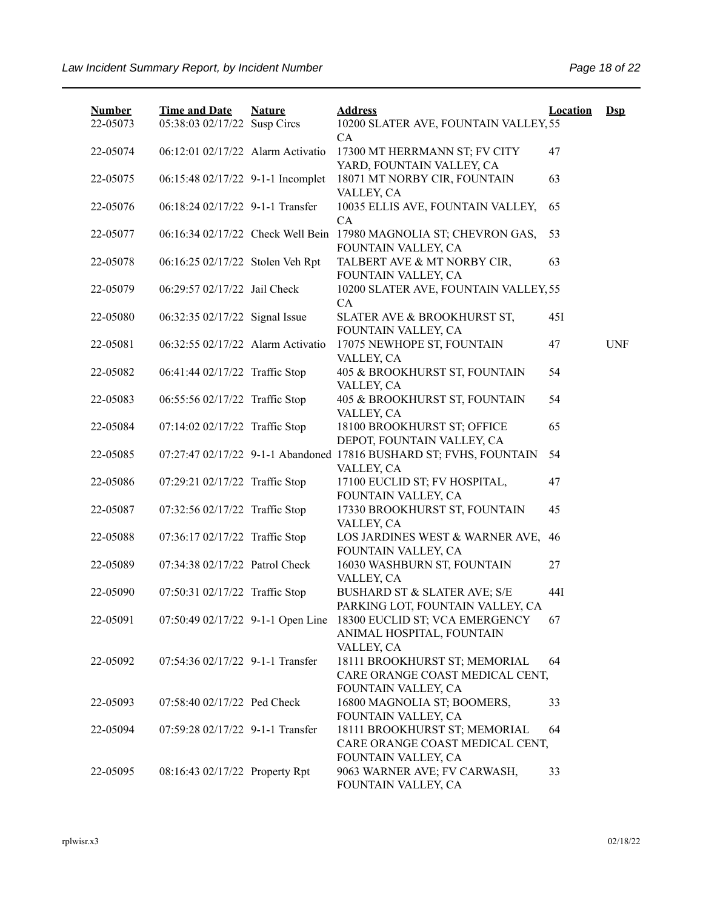| <b>Number</b> | <b>Time and Date</b>              | <b>Nature</b> | <b>Address</b>                                                                           | <b>Location</b> | $Ds$       |
|---------------|-----------------------------------|---------------|------------------------------------------------------------------------------------------|-----------------|------------|
| 22-05073      | 05:38:03 02/17/22 Susp Circs      |               | 10200 SLATER AVE, FOUNTAIN VALLEY, 55<br>CA                                              |                 |            |
| 22-05074      | 06:12:01 02/17/22 Alarm Activatio |               | 17300 MT HERRMANN ST; FV CITY                                                            | 47              |            |
| 22-05075      | 06:15:48 02/17/22 9-1-1 Incomplet |               | YARD, FOUNTAIN VALLEY, CA<br>18071 MT NORBY CIR, FOUNTAIN                                | 63              |            |
|               |                                   |               | VALLEY, CA                                                                               |                 |            |
| 22-05076      | 06:18:24 02/17/22 9-1-1 Transfer  |               | 10035 ELLIS AVE, FOUNTAIN VALLEY,                                                        | 65              |            |
|               |                                   |               | CA                                                                                       |                 |            |
| 22-05077      |                                   |               | 06:16:34 02/17/22 Check Well Bein 17980 MAGNOLIA ST; CHEVRON GAS,<br>FOUNTAIN VALLEY, CA | 53              |            |
| 22-05078      | 06:16:25 02/17/22 Stolen Veh Rpt  |               | TALBERT AVE & MT NORBY CIR,                                                              | 63              |            |
|               |                                   |               | FOUNTAIN VALLEY, CA                                                                      |                 |            |
| 22-05079      | 06:29:57 02/17/22 Jail Check      |               | 10200 SLATER AVE, FOUNTAIN VALLEY, 55                                                    |                 |            |
| 22-05080      | 06:32:35 02/17/22 Signal Issue    |               | CA<br>SLATER AVE & BROOKHURST ST,                                                        | 45I             |            |
|               |                                   |               | FOUNTAIN VALLEY, CA                                                                      |                 |            |
| 22-05081      | 06:32:55 02/17/22 Alarm Activatio |               | 17075 NEWHOPE ST, FOUNTAIN                                                               | 47              | <b>UNF</b> |
|               |                                   |               | VALLEY, CA                                                                               |                 |            |
| 22-05082      | 06:41:44 02/17/22 Traffic Stop    |               | 405 & BROOKHURST ST, FOUNTAIN                                                            | 54              |            |
|               |                                   |               | VALLEY, CA                                                                               | 54              |            |
| 22-05083      | 06:55:56 02/17/22 Traffic Stop    |               | 405 & BROOKHURST ST, FOUNTAIN<br>VALLEY, CA                                              |                 |            |
| 22-05084      | 07:14:02 02/17/22 Traffic Stop    |               | 18100 BROOKHURST ST; OFFICE                                                              | 65              |            |
|               |                                   |               | DEPOT, FOUNTAIN VALLEY, CA                                                               |                 |            |
| 22-05085      |                                   |               | 07:27:47 02/17/22 9-1-1 Abandoned 17816 BUSHARD ST; FVHS, FOUNTAIN                       | 54              |            |
|               |                                   |               | VALLEY, CA                                                                               |                 |            |
| 22-05086      | 07:29:21 02/17/22 Traffic Stop    |               | 17100 EUCLID ST; FV HOSPITAL,<br>FOUNTAIN VALLEY, CA                                     | 47              |            |
| 22-05087      | 07:32:56 02/17/22 Traffic Stop    |               | 17330 BROOKHURST ST, FOUNTAIN                                                            | 45              |            |
|               |                                   |               | VALLEY, CA                                                                               |                 |            |
| 22-05088      | 07:36:17 02/17/22 Traffic Stop    |               | LOS JARDINES WEST & WARNER AVE,                                                          | 46              |            |
| 22-05089      | 07:34:38 02/17/22 Patrol Check    |               | FOUNTAIN VALLEY, CA<br>16030 WASHBURN ST, FOUNTAIN                                       | 27              |            |
|               |                                   |               | VALLEY, CA                                                                               |                 |            |
| 22-05090      | 07:50:31 02/17/22 Traffic Stop    |               | BUSHARD ST & SLATER AVE; S/E                                                             | 44I             |            |
|               |                                   |               | PARKING LOT, FOUNTAIN VALLEY, CA                                                         |                 |            |
| 22-05091      |                                   |               | 07:50:49 02/17/22 9-1-1 Open Line 18300 EUCLID ST; VCA EMERGENCY                         | 67              |            |
|               |                                   |               | ANIMAL HOSPITAL, FOUNTAIN<br>VALLEY, CA                                                  |                 |            |
| 22-05092      | 07:54:36 02/17/22 9-1-1 Transfer  |               | 18111 BROOKHURST ST; MEMORIAL                                                            | 64              |            |
|               |                                   |               | CARE ORANGE COAST MEDICAL CENT,                                                          |                 |            |
|               |                                   |               | FOUNTAIN VALLEY, CA                                                                      |                 |            |
| 22-05093      | 07:58:40 02/17/22 Ped Check       |               | 16800 MAGNOLIA ST; BOOMERS,                                                              | 33              |            |
|               |                                   |               | FOUNTAIN VALLEY, CA                                                                      |                 |            |
| 22-05094      | 07:59:28 02/17/22 9-1-1 Transfer  |               | 18111 BROOKHURST ST; MEMORIAL                                                            | 64              |            |
|               |                                   |               | CARE ORANGE COAST MEDICAL CENT,<br>FOUNTAIN VALLEY, CA                                   |                 |            |
| 22-05095      | 08:16:43 02/17/22 Property Rpt    |               | 9063 WARNER AVE; FV CARWASH,                                                             | 33              |            |
|               |                                   |               | FOUNTAIN VALLEY, CA                                                                      |                 |            |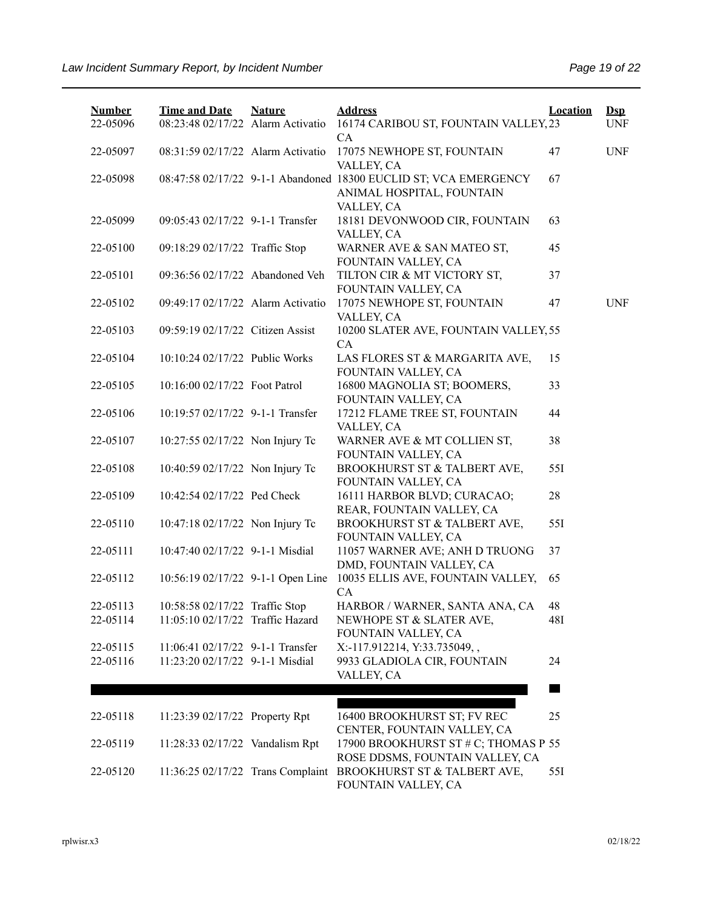| <b>Number</b><br>22-05096 | <b>Time and Date</b><br>08:23:48 02/17/22 Alarm Activatio           | <b>Nature</b> | <b>Address</b><br>16174 CARIBOU ST, FOUNTAIN VALLEY, 23                                                     | <b>Location</b> | $\mathbf{Dsp}$<br><b>UNF</b> |
|---------------------------|---------------------------------------------------------------------|---------------|-------------------------------------------------------------------------------------------------------------|-----------------|------------------------------|
| 22-05097                  | 08:31:59 02/17/22 Alarm Activatio                                   |               | CA<br>17075 NEWHOPE ST, FOUNTAIN<br>VALLEY, CA                                                              | 47              | <b>UNF</b>                   |
| 22-05098                  |                                                                     |               | 08:47:58 02/17/22 9-1-1 Abandoned 18300 EUCLID ST; VCA EMERGENCY<br>ANIMAL HOSPITAL, FOUNTAIN<br>VALLEY, CA | 67              |                              |
| 22-05099                  | 09:05:43 02/17/22 9-1-1 Transfer                                    |               | 18181 DEVONWOOD CIR, FOUNTAIN<br>VALLEY, CA                                                                 | 63              |                              |
| 22-05100                  | 09:18:29 02/17/22 Traffic Stop                                      |               | WARNER AVE & SAN MATEO ST,<br>FOUNTAIN VALLEY, CA                                                           | 45              |                              |
| 22-05101                  | 09:36:56 02/17/22 Abandoned Veh                                     |               | TILTON CIR & MT VICTORY ST,<br>FOUNTAIN VALLEY, CA                                                          | 37              |                              |
| 22-05102                  | 09:49:17 02/17/22 Alarm Activatio                                   |               | 17075 NEWHOPE ST, FOUNTAIN<br>VALLEY, CA                                                                    | 47              | <b>UNF</b>                   |
| 22-05103                  | 09:59:19 02/17/22 Citizen Assist                                    |               | 10200 SLATER AVE, FOUNTAIN VALLEY, 55<br>CA                                                                 |                 |                              |
| 22-05104                  | 10:10:24 02/17/22 Public Works                                      |               | LAS FLORES ST & MARGARITA AVE,<br>FOUNTAIN VALLEY, CA                                                       | 15              |                              |
| 22-05105                  | 10:16:00 02/17/22 Foot Patrol                                       |               | 16800 MAGNOLIA ST; BOOMERS,<br>FOUNTAIN VALLEY, CA                                                          | 33              |                              |
| 22-05106                  | 10:19:57 02/17/22 9-1-1 Transfer                                    |               | 17212 FLAME TREE ST, FOUNTAIN<br>VALLEY, CA                                                                 | 44              |                              |
| 22-05107                  | 10:27:55 02/17/22 Non Injury Tc                                     |               | WARNER AVE & MT COLLIEN ST,<br>FOUNTAIN VALLEY, CA                                                          | 38              |                              |
| 22-05108                  | 10:40:59 02/17/22 Non Injury Tc                                     |               | BROOKHURST ST & TALBERT AVE,<br>FOUNTAIN VALLEY, CA                                                         | 55I             |                              |
| 22-05109                  | 10:42:54 02/17/22 Ped Check                                         |               | 16111 HARBOR BLVD; CURACAO;<br>REAR, FOUNTAIN VALLEY, CA                                                    | 28              |                              |
| 22-05110                  | 10:47:18 02/17/22 Non Injury Tc                                     |               | BROOKHURST ST & TALBERT AVE,<br>FOUNTAIN VALLEY, CA                                                         | 55I             |                              |
| 22-05111                  | 10:47:40 02/17/22 9-1-1 Misdial                                     |               | 11057 WARNER AVE; ANH D TRUONG<br>DMD, FOUNTAIN VALLEY, CA                                                  | 37              |                              |
| 22-05112                  | 10:56:19 02/17/22 9-1-1 Open Line                                   |               | 10035 ELLIS AVE, FOUNTAIN VALLEY,<br>CA                                                                     | 65              |                              |
| 22-05113                  | 10:58:58 02/17/22 Traffic Stop                                      |               | HARBOR / WARNER, SANTA ANA, CA                                                                              | 48              |                              |
| 22-05114                  | 11:05:10 02/17/22 Traffic Hazard                                    |               | NEWHOPE ST & SLATER AVE,<br>FOUNTAIN VALLEY, CA                                                             | 48I             |                              |
| 22-05115<br>22-05116      | 11:06:41 02/17/22 9-1-1 Transfer<br>11:23:20 02/17/22 9-1-1 Misdial |               | X:-117.912214, Y:33.735049,,<br>9933 GLADIOLA CIR, FOUNTAIN                                                 | 24              |                              |
|                           |                                                                     |               | VALLEY, CA                                                                                                  |                 |                              |
|                           |                                                                     |               |                                                                                                             |                 |                              |
| 22-05118                  | 11:23:39 02/17/22 Property Rpt                                      |               | 16400 BROOKHURST ST; FV REC<br>CENTER, FOUNTAIN VALLEY, CA                                                  | 25              |                              |
| 22-05119                  | 11:28:33 02/17/22 Vandalism Rpt                                     |               | 17900 BROOKHURST ST # C; THOMAS P 55<br>ROSE DDSMS, FOUNTAIN VALLEY, CA                                     |                 |                              |
| 22-05120                  |                                                                     |               | 11:36:25 02/17/22 Trans Complaint BROOKHURST ST & TALBERT AVE,<br>FOUNTAIN VALLEY, CA                       | 55I             |                              |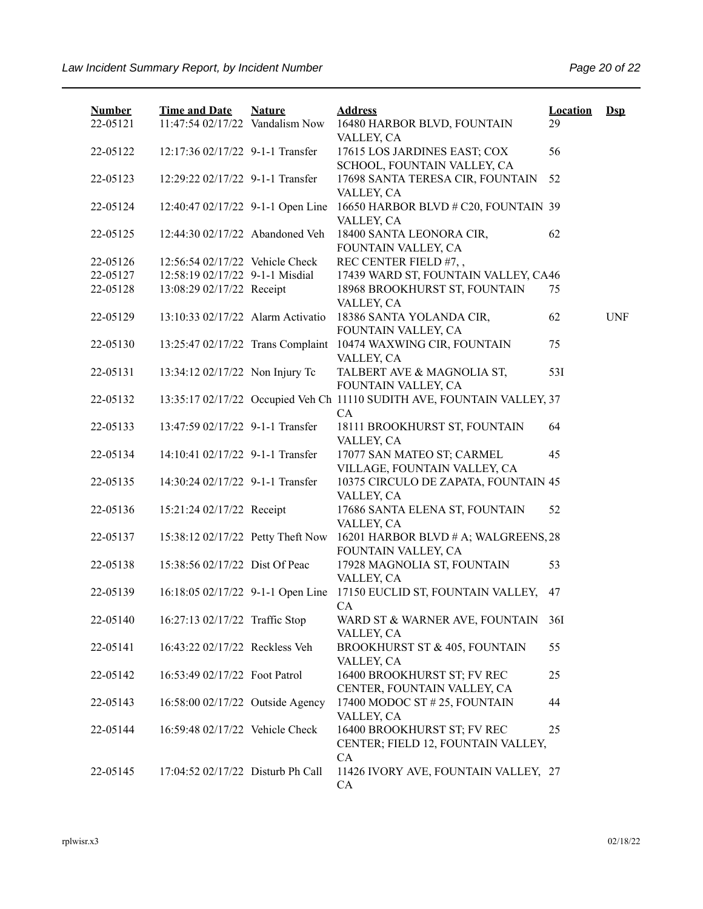| <b>Number</b><br>22-05121 | <b>Time and Date</b><br>11:47:54 02/17/22 Vandalism Now | <b>Nature</b> | <b>Address</b><br>16480 HARBOR BLVD, FOUNTAIN                                 | <b>Location</b><br>29 | $Dep$      |
|---------------------------|---------------------------------------------------------|---------------|-------------------------------------------------------------------------------|-----------------------|------------|
| 22-05122                  | 12:17:36 02/17/22 9-1-1 Transfer                        |               | VALLEY, CA<br>17615 LOS JARDINES EAST; COX                                    | 56                    |            |
|                           |                                                         |               | SCHOOL, FOUNTAIN VALLEY, CA                                                   |                       |            |
| 22-05123                  | 12:29:22 02/17/22 9-1-1 Transfer                        |               | 17698 SANTA TERESA CIR, FOUNTAIN<br>VALLEY, CA                                | 52                    |            |
| 22-05124                  | 12:40:47 02/17/22 9-1-1 Open Line                       |               | 16650 HARBOR BLVD # C20, FOUNTAIN 39<br>VALLEY, CA                            |                       |            |
| 22-05125                  | 12:44:30 02/17/22 Abandoned Veh                         |               | 18400 SANTA LEONORA CIR,<br>FOUNTAIN VALLEY, CA                               | 62                    |            |
| 22-05126                  | 12:56:54 02/17/22 Vehicle Check                         |               | REC CENTER FIELD #7,,                                                         |                       |            |
| 22-05127                  | 12:58:19 02/17/22 9-1-1 Misdial                         |               | 17439 WARD ST, FOUNTAIN VALLEY, CA46                                          |                       |            |
| 22-05128                  | 13:08:29 02/17/22 Receipt                               |               | 18968 BROOKHURST ST, FOUNTAIN                                                 | 75                    |            |
|                           |                                                         |               | VALLEY, CA                                                                    |                       |            |
| 22-05129                  | 13:10:33 02/17/22 Alarm Activatio                       |               | 18386 SANTA YOLANDA CIR,                                                      | 62                    | <b>UNF</b> |
|                           |                                                         |               | FOUNTAIN VALLEY, CA                                                           |                       |            |
| 22-05130                  | 13:25:47 02/17/22 Trans Complaint                       |               | 10474 WAXWING CIR, FOUNTAIN                                                   | 75                    |            |
|                           |                                                         |               | VALLEY, CA                                                                    |                       |            |
| 22-05131                  | 13:34:12 02/17/22 Non Injury Tc                         |               | TALBERT AVE & MAGNOLIA ST,                                                    | 531                   |            |
|                           |                                                         |               | FOUNTAIN VALLEY, CA                                                           |                       |            |
| 22-05132                  |                                                         |               | 13:35:17 02/17/22 Occupied Veh Ch 11110 SUDITH AVE, FOUNTAIN VALLEY, 37<br>CA |                       |            |
| 22-05133                  | 13:47:59 02/17/22 9-1-1 Transfer                        |               | 18111 BROOKHURST ST, FOUNTAIN<br>VALLEY, CA                                   | 64                    |            |
| 22-05134                  | 14:10:41 02/17/22 9-1-1 Transfer                        |               | 17077 SAN MATEO ST; CARMEL<br>VILLAGE, FOUNTAIN VALLEY, CA                    | 45                    |            |
| 22-05135                  | 14:30:24 02/17/22 9-1-1 Transfer                        |               | 10375 CIRCULO DE ZAPATA, FOUNTAIN 45<br>VALLEY, CA                            |                       |            |
| 22-05136                  | 15:21:24 02/17/22 Receipt                               |               | 17686 SANTA ELENA ST, FOUNTAIN<br>VALLEY, CA                                  | 52                    |            |
| 22-05137                  | 15:38:12 02/17/22 Petty Theft Now                       |               | 16201 HARBOR BLVD # A; WALGREENS, 28<br>FOUNTAIN VALLEY, CA                   |                       |            |
| 22-05138                  | 15:38:56 02/17/22 Dist Of Peac                          |               | 17928 MAGNOLIA ST, FOUNTAIN<br>VALLEY, CA                                     | 53                    |            |
| 22-05139                  | 16:18:05 02/17/22 9-1-1 Open Line                       |               | 17150 EUCLID ST, FOUNTAIN VALLEY,<br>CA                                       | 47                    |            |
| 22-05140                  | 16:27:13 02/17/22 Traffic Stop                          |               | WARD ST & WARNER AVE, FOUNTAIN 36I<br>VALLEY, CA                              |                       |            |
| 22-05141                  | 16:43:22 02/17/22 Reckless Veh                          |               | <b>BROOKHURST ST &amp; 405, FOUNTAIN</b><br>VALLEY, CA                        | 55                    |            |
| 22-05142                  | 16:53:49 02/17/22 Foot Patrol                           |               | 16400 BROOKHURST ST; FV REC<br>CENTER, FOUNTAIN VALLEY, CA                    | 25                    |            |
| 22-05143                  | 16:58:00 02/17/22 Outside Agency                        |               | 17400 MODOC ST #25, FOUNTAIN<br>VALLEY, CA                                    | 44                    |            |
| 22-05144                  | 16:59:48 02/17/22 Vehicle Check                         |               | 16400 BROOKHURST ST; FV REC<br>CENTER; FIELD 12, FOUNTAIN VALLEY,<br>CA       | 25                    |            |
| 22-05145                  | 17:04:52 02/17/22 Disturb Ph Call                       |               | 11426 IVORY AVE, FOUNTAIN VALLEY, 27<br>CA                                    |                       |            |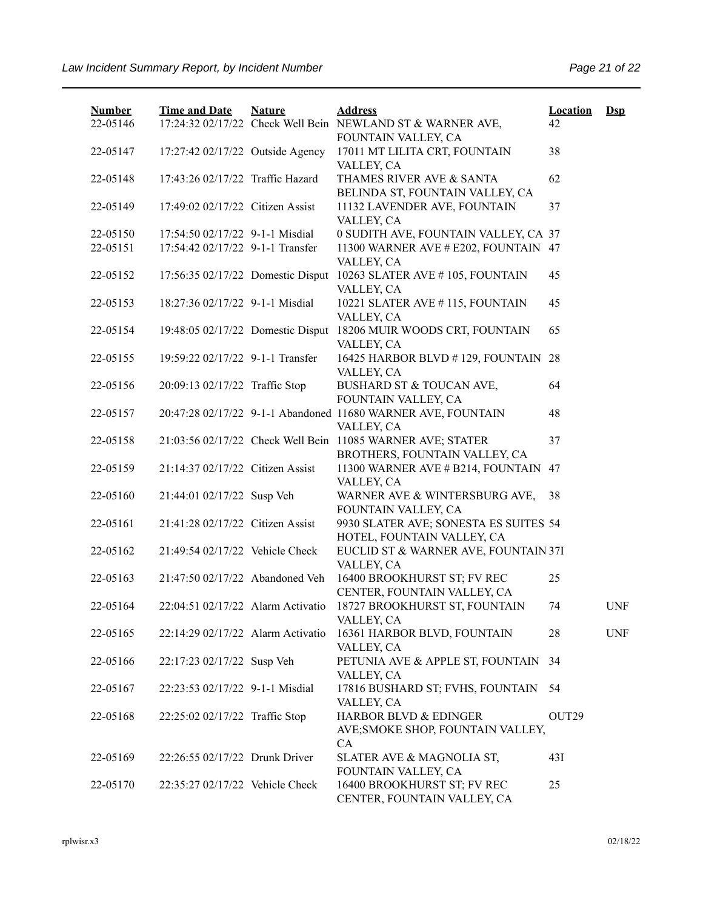| <b>Number</b><br>22-05146 | <b>Time and Date</b>              | <b>Nature</b> | <b>Address</b><br>17:24:32 02/17/22 Check Well Bein NEWLAND ST & WARNER AVE,    | <b>Location</b><br>42 | $\mathbf{Dsp}$ |
|---------------------------|-----------------------------------|---------------|---------------------------------------------------------------------------------|-----------------------|----------------|
| 22-05147                  | 17:27:42 02/17/22 Outside Agency  |               | FOUNTAIN VALLEY, CA<br>17011 MT LILITA CRT, FOUNTAIN<br>VALLEY, CA              | 38                    |                |
| 22-05148                  | 17:43:26 02/17/22 Traffic Hazard  |               | THAMES RIVER AVE & SANTA<br>BELINDA ST, FOUNTAIN VALLEY, CA                     | 62                    |                |
| 22-05149                  | 17:49:02 02/17/22 Citizen Assist  |               | 11132 LAVENDER AVE, FOUNTAIN<br>VALLEY, CA                                      | 37                    |                |
| 22-05150                  | 17:54:50 02/17/22 9-1-1 Misdial   |               | 0 SUDITH AVE, FOUNTAIN VALLEY, CA 37                                            |                       |                |
| 22-05151                  | 17:54:42 02/17/22 9-1-1 Transfer  |               | 11300 WARNER AVE # E202, FOUNTAIN 47<br>VALLEY, CA                              |                       |                |
| 22-05152                  |                                   |               | 17:56:35 02/17/22 Domestic Disput 10263 SLATER AVE #105, FOUNTAIN<br>VALLEY, CA | 45                    |                |
| 22-05153                  | 18:27:36 02/17/22 9-1-1 Misdial   |               | 10221 SLATER AVE #115, FOUNTAIN<br>VALLEY, CA                                   | 45                    |                |
| 22-05154                  |                                   |               | 19:48:05 02/17/22 Domestic Disput 18206 MUIR WOODS CRT, FOUNTAIN<br>VALLEY, CA  | 65                    |                |
| 22-05155                  | 19:59:22 02/17/22 9-1-1 Transfer  |               | 16425 HARBOR BLVD #129, FOUNTAIN 28<br>VALLEY, CA                               |                       |                |
| 22-05156                  | 20:09:13 02/17/22 Traffic Stop    |               | BUSHARD ST & TOUCAN AVE,<br>FOUNTAIN VALLEY, CA                                 | 64                    |                |
| 22-05157                  |                                   |               | 20:47:28 02/17/22 9-1-1 Abandoned 11680 WARNER AVE, FOUNTAIN                    | 48                    |                |
| 22-05158                  |                                   |               | VALLEY, CA<br>21:03:56 02/17/22 Check Well Bein 11085 WARNER AVE; STATER        | 37                    |                |
| 22-05159                  | 21:14:37 02/17/22 Citizen Assist  |               | BROTHERS, FOUNTAIN VALLEY, CA<br>11300 WARNER AVE # B214, FOUNTAIN              | 47                    |                |
| 22-05160                  | 21:44:01 02/17/22 Susp Veh        |               | VALLEY, CA<br>WARNER AVE & WINTERSBURG AVE,<br>FOUNTAIN VALLEY, CA              | 38                    |                |
| 22-05161                  | 21:41:28 02/17/22 Citizen Assist  |               | 9930 SLATER AVE; SONESTA ES SUITES 54<br>HOTEL, FOUNTAIN VALLEY, CA             |                       |                |
| 22-05162                  | 21:49:54 02/17/22 Vehicle Check   |               | EUCLID ST & WARNER AVE, FOUNTAIN 37I<br>VALLEY, CA                              |                       |                |
| 22-05163                  | 21:47:50 02/17/22 Abandoned Veh   |               | 16400 BROOKHURST ST; FV REC<br>CENTER, FOUNTAIN VALLEY, CA                      | 25                    |                |
| 22-05164                  | 22:04:51 02/17/22 Alarm Activatio |               | 18727 BROOKHURST ST, FOUNTAIN<br>VALLEY, CA                                     | 74                    | <b>UNF</b>     |
| 22-05165                  | 22:14:29 02/17/22 Alarm Activatio |               | 16361 HARBOR BLVD, FOUNTAIN<br>VALLEY, CA                                       | 28                    | <b>UNF</b>     |
| 22-05166                  | 22:17:23 02/17/22 Susp Veh        |               | PETUNIA AVE & APPLE ST, FOUNTAIN<br>VALLEY, CA                                  | 34                    |                |
| 22-05167                  | 22:23:53 02/17/22 9-1-1 Misdial   |               | 17816 BUSHARD ST; FVHS, FOUNTAIN<br>VALLEY, CA                                  | 54                    |                |
| 22-05168                  | 22:25:02 02/17/22 Traffic Stop    |               | HARBOR BLVD & EDINGER<br>AVE; SMOKE SHOP, FOUNTAIN VALLEY,<br>CA                | OUT <sub>29</sub>     |                |
| 22-05169                  | 22:26:55 02/17/22 Drunk Driver    |               | SLATER AVE & MAGNOLIA ST,<br>FOUNTAIN VALLEY, CA                                | 43I                   |                |
| 22-05170                  | 22:35:27 02/17/22 Vehicle Check   |               | 16400 BROOKHURST ST; FV REC<br>CENTER, FOUNTAIN VALLEY, CA                      | 25                    |                |